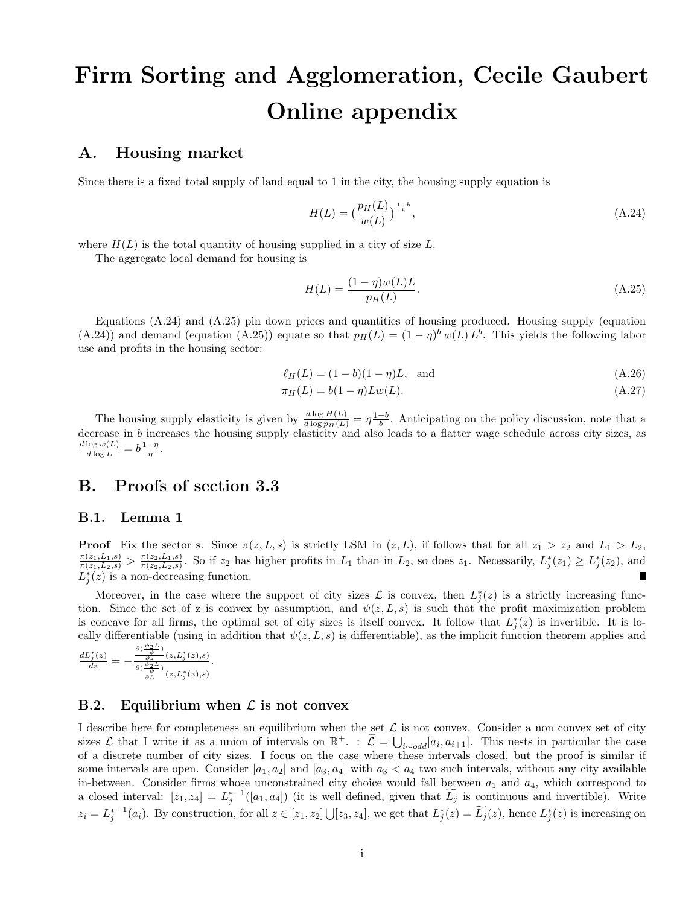# Firm Sorting and Agglomeration, Cecile Gaubert Online appendix

## A. Housing market

Since there is a fixed total supply of land equal to 1 in the city, the housing supply equation is

$$
H(L) = \left(\frac{p_H(L)}{w(L)}\right)^{\frac{1-b}{b}},\tag{A.24}
$$

where  $H(L)$  is the total quantity of housing supplied in a city of size L.

The aggregate local demand for housing is

$$
H(L) = \frac{(1 - \eta)w(L)L}{p_H(L)}.
$$
\n(A.25)

Equations  $(A.24)$  and  $(A.25)$  pin down prices and quantities of housing produced. Housing supply (equation (A.24)) and demand (equation (A.25)) equate so that  $p_H(L) = (1 - \eta)^b w(L) L^b$ . This yields the following labor use and profits in the housing sector:

$$
\ell_H(L) = (1 - b)(1 - \eta)L, \text{ and} \t(A.26)
$$

$$
\pi_H(L) = b(1 - \eta)Lw(L). \tag{A.27}
$$

The housing supply elasticity is given by  $\frac{d \log H(L)}{d \log p_H(L)} = \eta \frac{1-b}{b}$ . Anticipating on the policy discussion, note that a decrease in b increases the housing supply elasticity and also leads to a flatter wage schedule across city sizes, as  $\frac{d \log w(L)}{d \log L} = b \frac{1 - \eta}{\eta}.$ 

## B. Proofs of section 3.3

## B.1. Lemma 1

**Proof** Fix the sector s. Since  $\pi(z, L, s)$  is strictly LSM in  $(z, L)$ , if follows that for all  $z_1 > z_2$  and  $L_1 > L_2$ ,  $\frac{\pi(z_1,L_1,s)}{\pi(z_1,L_2,s)} > \frac{\pi(z_2,L_1,s)}{\pi(z_2,L_2,s)}$  $\frac{\pi(z_2,L_1,s)}{\pi(z_2,L_2,s)}$ . So if  $z_2$  has higher profits in  $L_1$  than in  $L_2$ , so does  $z_1$ . Necessarily,  $L_j^*(z_1) \ge L_j^*(z_2)$ , and  $L_j^*(z)$  is a non-decreasing function.

Moreover, in the case where the support of city sizes  $\mathcal L$  is convex, then  $L_j^*(z)$  is a strictly increasing function. Since the set of z is convex by assumption, and  $\psi(z, L, s)$  is such that the profit maximization problem is concave for all firms, the optimal set of city sizes is itself convex. It follow that  $L_j^*(z)$  is invertible. It is locally differentiable (using in addition that  $\psi(z, L, s)$  is differentiable), as the implicit function theorem applies and

$$
\frac{dL_j^*(z)}{dz} = -\frac{\frac{\partial (\frac{\psi_2 L}{\psi})}{\partial z} (z,L_j^*(z),s)}{\frac{\partial (\frac{\psi_2 L}{\psi})}{\partial L} (z,L_j^*(z),s)}.
$$

#### B.2. Equilibrium when  $\mathcal L$  is not convex

I describe here for completeness an equilibrium when the set  $\mathcal L$  is not convex. Consider a non convex set of city sizes  $\mathcal{L}$  that I write it as a union of intervals on  $\mathbb{R}^+$ . :  $\widetilde{\mathcal{L}} = \bigcup_{i \sim odd} [a_i, a_{i+1}]$ . This nests in particular the case of a discrete number of city sizes. I focus on the case where these intervals closed, but the proof is similar if some intervals are open. Consider  $[a_1, a_2]$  and  $[a_3, a_4]$  with  $a_3 < a_4$  two such intervals, without any city available in-between. Consider firms whose unconstrained city choice would fall between  $a_1$  and  $a_4$ , which correspond to a closed interval:  $[z_1, z_4] = L_j^{*-1}([a_1, a_4])$  (it is well defined, given that  $\widetilde{L_j}$  is continuous and invertible). Write  $z_i = L_j^{*-1}(a_i)$ . By construction, for all  $z \in [z_1, z_2] \cup [z_3, z_4]$ , we get that  $L_j^*(z) = \widetilde{L_j}(z)$ , hence  $L_j^*(z)$  is increasing on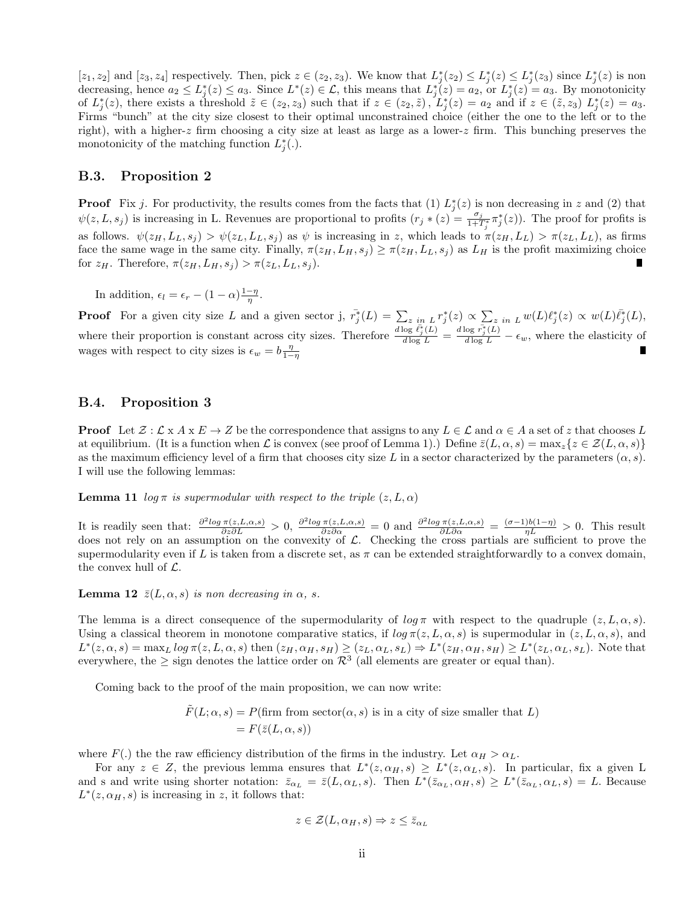$[z_1, z_2]$  and  $[z_3, z_4]$  respectively. Then, pick  $z \in (z_2, z_3)$ . We know that  $L_j^*(z_2) \leq L_j^*(z) \leq L_j^*(z_3)$  since  $L_j^*(z)$  is non decreasing, hence  $a_2 \leq L_j^*(z) \leq a_3$ . Since  $L^*(z) \in \mathcal{L}$ , this means that  $L_j^*(z) = a_2$ , or  $L_j^*(z) = a_3$ . By monotonicity of  $L_j^*(z)$ , there exists a threshold  $\tilde{z} \in (z_2, z_3)$  such that if  $z \in (z_2, \tilde{z})$ ,  $L_j^*(z) = a_2$  and if  $z \in (\tilde{z}, z_3)$   $L_j^*(z) = a_3$ . Firms "bunch" at the city size closest to their optimal unconstrained choice (either the one to the left or to the right), with a higher-z firm choosing a city size at least as large as a lower-z firm. This bunching preserves the monotonicity of the matching function  $L_j^*(.)$ .

#### B.3. Proposition 2

**Proof** Fix j. For productivity, the results comes from the facts that (1)  $L_j^*(z)$  is non decreasing in z and (2) that  $\psi(z, L, s_j)$  is increasing in L. Revenues are proportional to profits  $(r_j * (z)) = \frac{\sigma_j}{1 + T_j^*} \pi_j^*(z)$ ). The proof for profits is as follows.  $\psi(z_H, L_L, s_j) > \psi(z_L, L_L, s_j)$  as  $\psi$  is increasing in z, which leads to  $\pi(z_H, L_L) > \pi(z_L, L_L)$ , as firms face the same wage in the same city. Finally,  $\pi(z_H, L_H, s_j) \geq \pi(z_H, L_L, s_j)$  as  $L_H$  is the profit maximizing choice for  $z_H$ . Therefore,  $\pi(z_H, L_H, s_j) > \pi(z_L, L_L, s_j)$ . Ц

In addition,  $\epsilon_l = \epsilon_r - (1 - \alpha) \frac{1 - \eta}{\eta}$ .

**Proof** For a given city size L and a given sector j,  $\overline{r}_j^*(L) = \sum_{z \text{ in } L} r_j^*(z) \propto \sum_{z \text{ in } L} w(L) \ell_j^*(z) \propto w(L) \overline{\ell_j^*(L)}$ , where their proportion is constant across city sizes. Therefore  $\frac{d \log \bar{\ell}^*_j(L)}{d \log L} = \frac{d \log \bar{\ell}^*_j(L)}{d \log L} - \epsilon_w$ , where the elasticity of wages with respect to city sizes is  $\epsilon_w = b \frac{\eta}{1-\eta}$ 

## B.4. Proposition 3

**Proof** Let  $\mathcal{Z}: \mathcal{L} \times A \times E \to Z$  be the correspondence that assigns to any  $L \in \mathcal{L}$  and  $\alpha \in A$  a set of z that chooses L at equilibrium. (It is a function when L is convex (see proof of Lemma 1).) Define  $\bar{z}(L,\alpha,s) = \max_{z} \{z \in \mathcal{Z}(L,\alpha,s)\}\$ as the maximum efficiency level of a firm that chooses city size L in a sector characterized by the parameters  $(\alpha, s)$ . I will use the following lemmas:

**Lemma 11** log  $\pi$  is supermodular with respect to the triple  $(z, L, \alpha)$ 

It is readily seen that:  $\frac{\partial^2 log \pi(z, L, \alpha, s)}{\partial z \partial L} > 0$ ,  $\frac{\partial^2 log \pi(z, L, \alpha, s)}{\partial z \partial \alpha} = 0$  and  $\frac{\partial^2 log \pi(z, L, \alpha, s)}{\partial L \partial \alpha} = \frac{(\sigma - 1)b(1 - \eta)}{\eta L} > 0$ . This result does not rely on an assumption on the convexity of  $\mathcal{L}$ . Checking the cross partials are sufficient to prove the supermodularity even if L is taken from a discrete set, as  $\pi$  can be extended straightforwardly to a convex domain, the convex hull of  $\mathcal{L}$ .

**Lemma 12**  $\bar{z}(L, \alpha, s)$  is non decreasing in  $\alpha$ , s.

The lemma is a direct consequence of the supermodularity of  $\log \pi$  with respect to the quadruple  $(z, L, \alpha, s)$ . Using a classical theorem in monotone comparative statics, if  $\log \pi(z, L, \alpha, s)$  is supermodular in  $(z, L, \alpha, s)$ , and  $L^*(z,\alpha,s) = \max_L log \pi(z,L,\alpha,s)$  then  $(z_H,\alpha_H,s_H) \ge (z_L,\alpha_L,s_L) \Rightarrow L^*(z_H,\alpha_H,s_H) \ge L^*(z_L,\alpha_L,s_L)$ . Note that everywhere, the  $\geq$  sign denotes the lattice order on  $\mathcal{R}^3$  (all elements are greater or equal than).

Coming back to the proof of the main proposition, we can now write:

$$
\tilde{F}(L; \alpha, s) = P(\text{firm from sector}(\alpha, s) \text{ is in a city of size smaller that } L) \n= F(\bar{z}(L, \alpha, s))
$$

where  $F(.)$  the the raw efficiency distribution of the firms in the industry. Let  $\alpha_H > \alpha_L$ .

For any  $z \in Z$ , the previous lemma ensures that  $L^*(z, \alpha_H, s) \ge L^*(z, \alpha_L, s)$ . In particular, fix a given L and s and write using shorter notation:  $\bar{z}_{\alpha_L} = \bar{z}(L, \alpha_L, s)$ . Then  $L^*(\bar{z}_{\alpha_L}, \alpha_H, s) \ge L^*(\bar{z}_{\alpha_L}, \alpha_L, s) = L$ . Because  $L^*(z, \alpha_H, s)$  is increasing in z, it follows that:

$$
z\in\mathcal{Z}(L,\alpha_H,s)\Rightarrow z\leq \bar{z}_{\alpha_L}
$$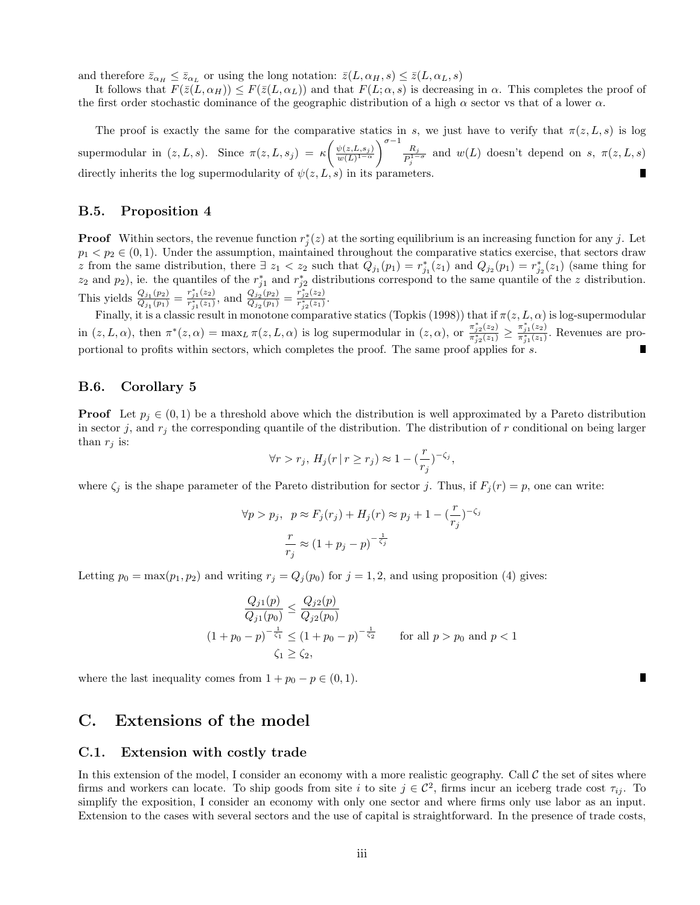and therefore  $\bar{z}_{\alpha_H} \leq \bar{z}_{\alpha_L}$  or using the long notation:  $\bar{z}(L, \alpha_H, s) \leq \bar{z}(L, \alpha_L, s)$ 

It follows that  $F(\bar{z}(L, \alpha_H)) \leq F(\bar{z}(L, \alpha_L))$  and that  $F(L; \alpha, s)$  is decreasing in  $\alpha$ . This completes the proof of the first order stochastic dominance of the geographic distribution of a high  $\alpha$  sector vs that of a lower  $\alpha$ .

The proof is exactly the same for the comparative statics in s, we just have to verify that  $\pi(z, L, s)$  is log supermodular in  $(z, L, s)$ . Since  $\pi(z, L, s_j) = \kappa \left( \frac{\psi(z, L, s_j)}{\psi(L)^{1-\alpha}} \right)^{\sigma-1} \frac{R_j}{P_j^{1-\alpha}}$  $\frac{R_j}{P_j^{1-\sigma}}$  and  $w(L)$  doesn't depend on s,  $\pi(z, L, s)$ directly inherits the log supermodularity of  $\psi(z, L, s)$  in its parameters. п

#### B.5. Proposition 4

**Proof** Within sectors, the revenue function  $r_j^*(z)$  at the sorting equilibrium is an increasing function for any j. Let  $p_1 < p_2 \in (0,1)$ . Under the assumption, maintained throughout the comparative statics exercise, that sectors draw z from the same distribution, there  $\exists z_1 < z_2$  such that  $Q_{j_1}(p_1) = r_{j_1}^*(z_1)$  and  $Q_{j_2}(p_1) = r_{j_2}^*(z_1)$  (same thing for  $z_2$  and  $p_2$ ), ie. the quantiles of the  $r_{j1}^*$  and  $r_{j2}^*$  distributions correspond to the same quantile of the z distribution. This yields  $\frac{Q_{j_1}(p_2)}{Q_{j_1}(p_1)}$  $\frac{Q_{j_1}(p_2)}{Q_{j_1}(p_1)} = \frac{r_{j_1}^*(z_2)}{r_{j_1}^*(z_1)}$  $\frac{r_{j1}^*(z_2)}{r_{j1}^*(z_1)}$ , and  $\frac{Q_{j_2}(p_2)}{Q_{j_2}(p_1)}$  $\frac{Q_{j_2}(p_2)}{Q_{j_2}(p_1)} = \frac{\overset{\circ}{r}^*_{j2}(z_2)}{r^*_{j2}(z_1)}$  $\frac{r_{j2}(z_2)}{r_{j2}^*(z_1)}$ .

Finally, it is a classic result in monotone comparative statics (Topkis (1998)) that if  $\pi(z, L, \alpha)$  is log-supermodular in  $(z, L, \alpha)$ , then  $\pi^*(z, \alpha) = \max_L \pi(z, L, \alpha)$  is log supermodular in  $(z, \alpha)$ , or  $\frac{\pi^*_{j2}(z_2)}{\pi^*(z_1)}$  $\frac{\pi_{j2}^*(z_2)}{\pi_{j2}^*(z_1)} \geq \frac{\pi_{j1}^*(z_2)}{\pi_{j1}^*(z_1)}$  $\frac{\pi_{j1}^*(z_2)}{\pi_{j1}^*(z_1)}$ . Revenues are proportional to profits within sectors, which completes the proof. The same proof applies for  $s$ .

#### B.6. Corollary 5

**Proof** Let  $p_j \in (0,1)$  be a threshold above which the distribution is well approximated by a Pareto distribution in sector j, and  $r_j$  the corresponding quantile of the distribution. The distribution of r conditional on being larger than  $r_i$  is:

$$
\forall r > r_j, H_j(r | r \ge r_j) \approx 1 - (\frac{r}{r_j})^{-\zeta_j},
$$

where  $\zeta_j$  is the shape parameter of the Pareto distribution for sector j. Thus, if  $F_j(r) = p$ , one can write:

$$
\forall p > p_j, \quad p \approx F_j(r_j) + H_j(r) \approx p_j + 1 - \left(\frac{r}{r_j}\right)^{-\zeta_j}
$$

$$
\frac{r}{r_j} \approx \left(1 + p_j - p\right)^{-\frac{1}{\zeta_j}}
$$

Letting  $p_0 = \max(p_1, p_2)$  and writing  $r_j = Q_j(p_0)$  for  $j = 1, 2$ , and using proposition (4) gives:

$$
\frac{Q_{j1}(p)}{Q_{j1}(p_0)} \le \frac{Q_{j2}(p)}{Q_{j2}(p_0)}
$$
\n
$$
(1 + p_0 - p)^{-\frac{1}{\zeta_1}} \le (1 + p_0 - p)^{-\frac{1}{\zeta_2}} \quad \text{for all } p > p_0 \text{ and } p < 1
$$
\n
$$
\zeta_1 \ge \zeta_2,
$$

where the last inequality comes from  $1 + p_0 - p \in (0, 1)$ .

## C. Extensions of the model

#### C.1. Extension with costly trade

In this extension of the model, I consider an economy with a more realistic geography. Call  $\mathcal C$  the set of sites where firms and workers can locate. To ship goods from site i to site  $j \in \mathcal{C}^2$ , firms incur an iceberg trade cost  $\tau_{ij}$ . To simplify the exposition, I consider an economy with only one sector and where firms only use labor as an input. Extension to the cases with several sectors and the use of capital is straightforward. In the presence of trade costs,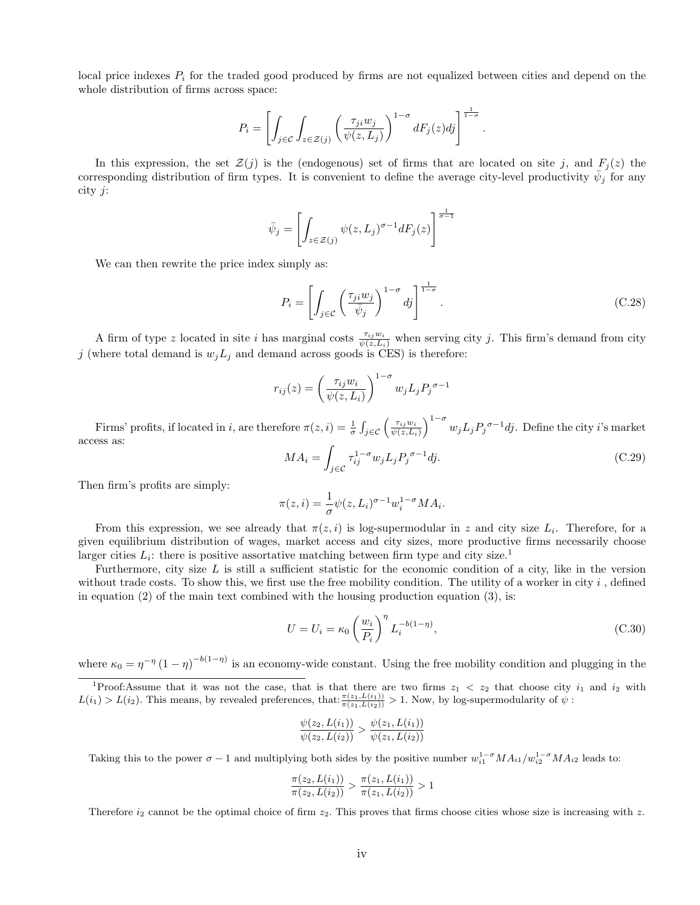local price indexes  $P_i$  for the traded good produced by firms are not equalized between cities and depend on the whole distribution of firms across space:

$$
P_i = \left[ \int_{j \in \mathcal{C}} \int_{z \in \mathcal{Z}(j)} \left( \frac{\tau_{ji} w_j}{\psi(z, L_j)} \right)^{1-\sigma} dF_j(z) dj \right]^{\frac{1}{1-\sigma}}.
$$

In this expression, the set  $\mathcal{Z}(j)$  is the (endogenous) set of firms that are located on site j, and  $F_j(z)$  the corresponding distribution of firm types. It is convenient to define the average city-level productivity  $\bar{\psi}_j$  for any city  $j$ :

$$
\bar{\psi}_j = \left[ \int_{z \in \mathcal{Z}(j)} \psi(z, L_j)^{\sigma - 1} dF_j(z) \right]^{\frac{1}{\sigma - 1}}
$$

We can then rewrite the price index simply as:

$$
P_i = \left[ \int_{j \in \mathcal{C}} \left( \frac{\tau_{ji} w_j}{\bar{\psi}_j} \right)^{1-\sigma} dj \right]^{\frac{1}{1-\sigma}}.
$$
 (C.28)

A firm of type z located in site i has marginal costs  $\frac{\tau_{ij}w_i}{\psi(z,L_i)}$  when serving city j. This firm's demand from city j (where total demand is  $w_j L_j$  and demand across goods is CES) is therefore:

$$
r_{ij}(z) = \left(\frac{\tau_{ij}w_i}{\psi(z, L_i)}\right)^{1-\sigma} w_j L_j P_j^{\sigma-1}
$$

Firms' profits, if located in *i*, are therefore  $\pi(z, i) = \frac{1}{\sigma} \int_{j \in \mathcal{C}} \left( \frac{\tau_{ij} w_i}{\psi(z, L_i)} \right)$  $\frac{\tau_{ij}w_i}{\psi(z,L_i)}\Big)^{1-\sigma}w_jL_jP_j{}^{\sigma-1}dj$ . Define the city *i*'s market access as:

$$
MA_i = \int_{j \in \mathcal{C}} \tau_{ij}^{1-\sigma} w_j L_j P_j^{\sigma-1} dj. \tag{C.29}
$$

Then firm's profits are simply:

$$
\pi(z,i) = \frac{1}{\sigma} \psi(z, L_i)^{\sigma - 1} w_i^{1 - \sigma} M A_i.
$$

From this expression, we see already that  $\pi(z, i)$  is log-supermodular in z and city size  $L_i$ . Therefore, for a given equilibrium distribution of wages, market access and city sizes, more productive firms necessarily choose larger cities  $L_i$ : there is positive assortative matching between firm type and city size.<sup>1</sup>

Furthermore, city size  $L$  is still a sufficient statistic for the economic condition of a city, like in the version without trade costs. To show this, we first use the free mobility condition. The utility of a worker in city  $i$ , defined in equation  $(2)$  of the main text combined with the housing production equation  $(3)$ , is:

$$
U = U_i = \kappa_0 \left(\frac{w_i}{P_i}\right)^{\eta} L_i^{-b(1-\eta)},\tag{C.30}
$$

where  $\kappa_0 = \eta^{-\eta} (1-\eta)^{-b(1-\eta)}$  is an economy-wide constant. Using the free mobility condition and plugging in the

$$
\frac{\psi(z_2, L(i_1))}{\psi(z_2, L(i_2))} > \frac{\psi(z_1, L(i_1))}{\psi(z_1, L(i_2))}
$$

Taking this to the power  $\sigma - 1$  and multiplying both sides by the positive number  $w_{i1}^{1-\sigma} M A_{i1}/w_{i2}^{1-\sigma} M A_{i2}$  leads to:

$$
\frac{\pi(z_2, L(i_1))}{\pi(z_2, L(i_2))} > \frac{\pi(z_1, L(i_1))}{\pi(z_1, L(i_2))} > 1
$$

Therefore  $i_2$  cannot be the optimal choice of firm  $z_2$ . This proves that firms choose cities whose size is increasing with z.

<sup>&</sup>lt;sup>1</sup>Proof: Assume that it was not the case, that is that there are two firms  $z_1 < z_2$  that choose city  $i_1$  and  $i_2$  with  $L(i_1) > L(i_2)$ . This means, by revealed preferences, that:  $\frac{\pi(z_1, L(i_1))}{\pi(z_1, L(i_2))} > 1$ . Now, by log-supermodularity of  $\psi$ :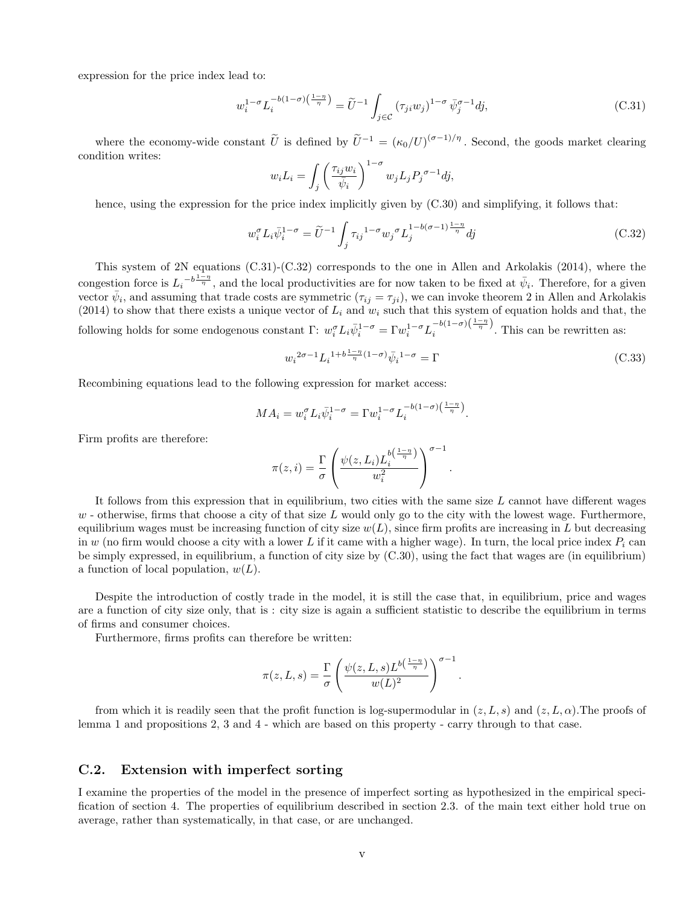expression for the price index lead to:

$$
w_i^{1-\sigma} L_i^{-b(1-\sigma)\left(\frac{1-\eta}{\eta}\right)} = \tilde{U}^{-1} \int_{j \in \mathcal{C}} \left(\tau_{ji} w_j\right)^{1-\sigma} \bar{\psi}_j^{\sigma-1} d j,\tag{C.31}
$$

where the economy-wide constant  $\tilde{U}$  is defined by  $\tilde{U}^{-1} = (\kappa_0/U)^{(\sigma-1)/\eta}$ . Second, the goods market clearing condition writes:

$$
w_i L_i = \int_j \left(\frac{\tau_{ij} w_i}{\bar{\psi}_i}\right)^{1-\sigma} w_j L_j P_j^{\sigma-1} d_j,
$$

hence, using the expression for the price index implicitly given by  $(C.30)$  and simplifying, it follows that:

$$
w_i^{\sigma} L_i \bar{\psi}_i^{1-\sigma} = \tilde{U}^{-1} \int_j \tau_{ij}^{1-\sigma} w_j^{\sigma} L_j^{1-b(\sigma-1)\frac{1-\eta}{\eta}} dj \tag{C.32}
$$

This system of 2N equations (C.31)-(C.32) corresponds to the one in Allen and Arkolakis (2014), where the congestion force is  $L_i^{-b\frac{1-\eta}{\eta}}$ , and the local productivities are for now taken to be fixed at  $\bar{\psi}_i$ . Therefore, for a given vector  $\bar{\psi}_i$ , and assuming that trade costs are symmetric  $(\tau_{ij} = \tau_{ji})$ , we can invoke theorem 2 in Allen and Arkolakis (2014) to show that there exists a unique vector of  $L_i$  and  $w_i$  such that this system of equation holds and that, the following holds for some endogenous constant  $\Gamma: w_i^{\sigma} L_i \bar{\psi}_i^{1-\sigma} = \Gamma w_i^{1-\sigma} L_i^{-b(1-\sigma)\left(\frac{1-\eta}{\eta}\right)}$ . This can be rewritten as:

$$
w_i^{2\sigma - 1} L_i^{1 + b \frac{1 - \eta}{\eta} (1 - \sigma)} \bar{\psi}_i^{1 - \sigma} = \Gamma
$$
\n(C.33)

.

.

Recombining equations lead to the following expression for market access:

$$
MA_i = w_i^{\sigma} L_i \bar{\psi}_i^{1-\sigma} = \Gamma w_i^{1-\sigma} L_i^{-b(1-\sigma)\left(\frac{1-\eta}{\eta}\right)}
$$

Firm profits are therefore:

$$
\pi(z, i) = \frac{\Gamma}{\sigma} \left( \frac{\psi(z, L_i) L_i^{b(\frac{1-\eta}{\eta})}}{w_i^2} \right)^{\sigma - 1}
$$

It follows from this expression that in equilibrium, two cities with the same size  $L$  cannot have different wages  $w$  - otherwise, firms that choose a city of that size L would only go to the city with the lowest wage. Furthermore, equilibrium wages must be increasing function of city size  $w(L)$ , since firm profits are increasing in L but decreasing in w (no firm would choose a city with a lower L if it came with a higher wage). In turn, the local price index  $P_i$  can be simply expressed, in equilibrium, a function of city size by (C.30), using the fact that wages are (in equilibrium) a function of local population,  $w(L)$ .

Despite the introduction of costly trade in the model, it is still the case that, in equilibrium, price and wages are a function of city size only, that is : city size is again a sufficient statistic to describe the equilibrium in terms of firms and consumer choices.

Furthermore, firms profits can therefore be written:

$$
\pi(z, L, s) = \frac{\Gamma}{\sigma} \left( \frac{\psi(z, L, s) L^{b\left(\frac{1-\eta}{\eta}\right)}}{w(L)^2} \right)^{\sigma - 1}.
$$

from which it is readily seen that the profit function is log-supermodular in  $(z, L, s)$  and  $(z, L, \alpha)$ . The proofs of lemma 1 and propositions 2, 3 and 4 - which are based on this property - carry through to that case.

## C.2. Extension with imperfect sorting

I examine the properties of the model in the presence of imperfect sorting as hypothesized in the empirical specification of section 4. The properties of equilibrium described in section 2.3. of the main text either hold true on average, rather than systematically, in that case, or are unchanged.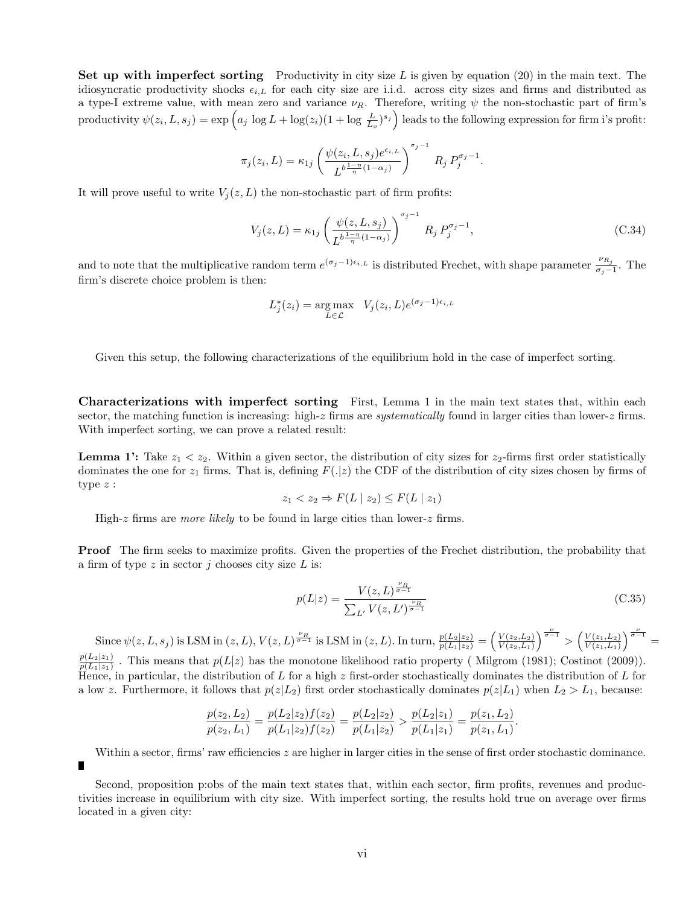**Set up with imperfect sorting** Productivity in city size  $L$  is given by equation (20) in the main text. The idiosyncratic productivity shocks  $\epsilon_{i,L}$  for each city size are i.i.d. across city sizes and firms and distributed as a type-I extreme value, with mean zero and variance  $\nu_R$ . Therefore, writing  $\psi$  the non-stochastic part of firm's productivity  $\psi(z_i, L, s_j) = \exp\left(a_j \log L + \log(z_i)(1 + \log \frac{L}{L_o})^{s_j}\right)$  leads to the following expression for firm i's profit:

$$
\pi_j(z_i, L) = \kappa_{1j} \left( \frac{\psi(z_i, L, s_j) e^{\epsilon_{i,L}}}{L^{b \frac{1-\eta}{\eta}(1-\alpha_j)}} \right)^{\sigma_j - 1} R_j P_j^{\sigma_j - 1}.
$$

It will prove useful to write  $V_i(z, L)$  the non-stochastic part of firm profits:

$$
V_j(z, L) = \kappa_{1j} \left( \frac{\psi(z, L, s_j)}{L^{b \frac{1 - \eta}{\eta} (1 - \alpha_j)}} \right)^{\sigma_j - 1} R_j P_j^{\sigma_j - 1}, \tag{C.34}
$$

and to note that the multiplicative random term  $e^{(\sigma_j-1)\epsilon_{i,L}}$  is distributed Frechet, with shape parameter  $\frac{\nu_{R_j}}{\sigma_j-1}$ . The firm's discrete choice problem is then:

$$
L_j^*(z_i) = \underset{L \in \mathcal{L}}{\arg \max} \quad V_j(z_i, L) e^{(\sigma_j - 1)\epsilon_{i, L}}
$$

Given this setup, the following characterizations of the equilibrium hold in the case of imperfect sorting.

Characterizations with imperfect sorting First, Lemma 1 in the main text states that, within each sector, the matching function is increasing: high-z firms are *systematically* found in larger cities than lower-z firms. With imperfect sorting, we can prove a related result:

**Lemma 1':** Take  $z_1 < z_2$ . Within a given sector, the distribution of city sizes for  $z_2$ -firms first order statistically dominates the one for  $z_1$  firms. That is, defining  $F(.|z)$  the CDF of the distribution of city sizes chosen by firms of type z :

$$
z_1 < z_2 \Rightarrow F(L \mid z_2) \le F(L \mid z_1)
$$

High-z firms are *more likely* to be found in large cities than lower-z firms.

p(L2|z2)f(z2)

Proof The firm seeks to maximize profits. Given the properties of the Frechet distribution, the probability that a firm of type  $z$  in sector  $j$  chooses city size  $L$  is:

$$
p(L|z) = \frac{V(z, L)^{\frac{\nu_R}{\sigma - 1}}}{\sum_{L'} V(z, L')^{\frac{\nu_R}{\sigma - 1}}}
$$
(C.35)

Since  $\psi(z, L, s_j)$  is LSM in  $(z, L), V(z, L)^{\frac{\nu_R}{\sigma - 1}}$  is LSM in  $(z, L)$ . In turn,  $\frac{p(L_2|z_2)}{p(L_1|z_2)} = \left(\frac{V(z_2, L_2)}{V(z_2, L_1)}\right)$  $\frac{V(z_2,L_2)}{V(z_2,L_1)}\bigg)^{\frac{\nu}{\sigma-1}} > \left(\frac{V(z_1,L_2)}{V(z_1,L_1)}\right)$  $\frac{V(z_1,L_2)}{V(z_1,L_1)}\Big)^{\frac{\nu}{\sigma-1}} =$  $p(L_2|z_1)$ 

 $\frac{p(L_2|z_1)}{p(L_1|z_1)}$ . This means that  $p(L|z)$  has the monotone likelihood ratio property (Milgrom (1981); Costinot (2009)). Hence, in particular, the distribution of L for a high  $z$  first-order stochastically dominates the distribution of L for a low z. Furthermore, it follows that  $p(z|L_2)$  first order stochastically dominates  $p(z|L_1)$  when  $L_2 > L_1$ , because:

$$
\frac{p(z_2, L_2)}{p(z_2, L_1)} = \frac{p(L_2|z_2)f(z_2)}{p(L_1|z_2)f(z_2)} = \frac{p(L_2|z_2)}{p(L_1|z_2)} > \frac{p(L_2|z_1)}{p(L_1|z_1)} = \frac{p(z_1, L_2)}{p(z_1, L_1)}.
$$

Within a sector, firms' raw efficiencies  $z$  are higher in larger cities in the sense of first order stochastic dominance. Г

Second, proposition p:obs of the main text states that, within each sector, firm profits, revenues and productivities increase in equilibrium with city size. With imperfect sorting, the results hold true on average over firms located in a given city: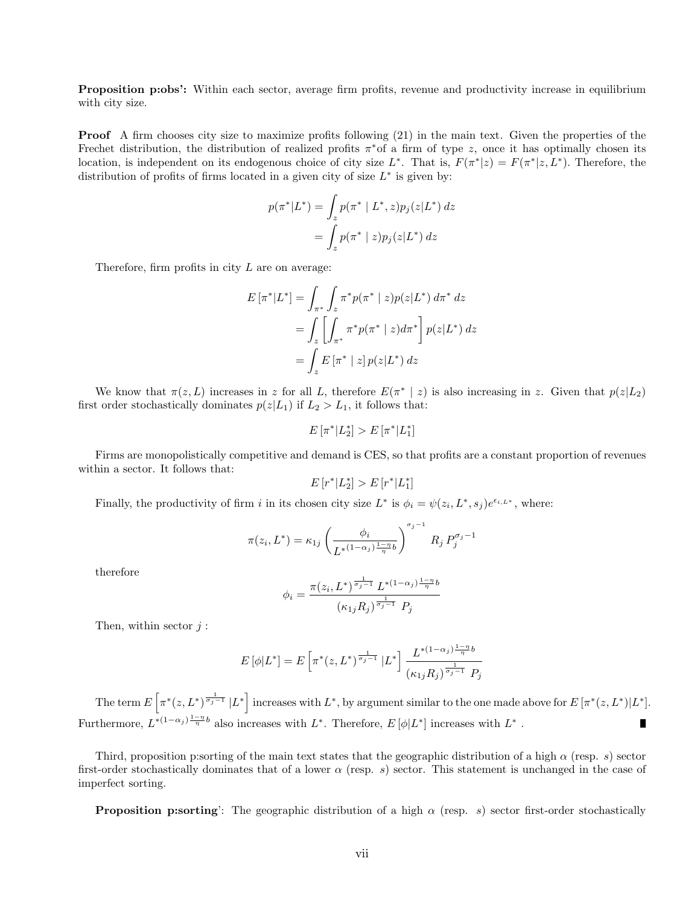Proposition p:obs': Within each sector, average firm profits, revenue and productivity increase in equilibrium with city size.

Proof A firm chooses city size to maximize profits following (21) in the main text. Given the properties of the Frechet distribution, the distribution of realized profits  $\pi^*$  of a firm of type z, once it has optimally chosen its location, is independent on its endogenous choice of city size  $L^*$ . That is,  $F(\pi^*|z) = F(\pi^*|z, L^*)$ . Therefore, the distribution of profits of firms located in a given city of size  $L^*$  is given by:

$$
p(\pi^* | L^*) = \int_z p(\pi^* | L^*, z) p_j(z | L^*) dz
$$
  
= 
$$
\int_z p(\pi^* | z) p_j(z | L^*) dz
$$

Therefore, firm profits in city  $L$  are on average:

$$
E\left[\pi^*|L^*\right] = \int_{\pi^*} \int_z \pi^* p(\pi^* | z) p(z|L^*) d\pi^* dz
$$
  
= 
$$
\int_z \left[ \int_{\pi^*} \pi^* p(\pi^* | z) d\pi^* \right] p(z|L^*) dz
$$
  
= 
$$
\int_z E\left[\pi^* | z\right] p(z|L^*) dz
$$

We know that  $\pi(z, L)$  increases in z for all L, therefore  $E(\pi^* | z)$  is also increasing in z. Given that  $p(z|L_2)$ first order stochastically dominates  $p(z|L_1)$  if  $L_2 > L_1$ , it follows that:

$$
E\left[\pi^* | L_2^* \right] > E\left[\pi^* | L_1^* \right]
$$

Firms are monopolistically competitive and demand is CES, so that profits are a constant proportion of revenues within a sector. It follows that:

$$
E\left[r^*|L_2^*\right] > E\left[r^*|L_1^*\right]
$$

Finally, the productivity of firm *i* in its chosen city size  $L^*$  is  $\phi_i = \psi(z_i, L^*, s_j) e^{\epsilon_{i,L^*}}$ , where:

$$
\pi(z_i, L^*) = \kappa_{1j} \left( \frac{\phi_i}{L^{*(1-\alpha_j)\frac{1-\eta}{\eta} b}} \right)^{\sigma_j - 1} R_j P_j^{\sigma_j - 1}
$$

therefore

$$
\phi_i = \frac{\pi(z_i, L^*)^{\frac{1}{\sigma_j - 1}} L^{*(1 - \alpha_j) \frac{1 - \eta}{\eta} b}}{(\kappa_{1j} R_j)^{\frac{1}{\sigma_j - 1}} P_j}
$$

Then, within sector  $j$ :

$$
E[\phi|L^*] = E\left[\pi^*(z, L^*)^{\frac{1}{\sigma_j - 1}} |L^* \right] \frac{L^{*(1-\alpha_j)\frac{1-\eta}{\eta}b}}{(\kappa_{1j}R_j)^{\frac{1}{\sigma_j - 1}} P_j}
$$

The term  $E\left[\pi^*(z,L^*)^{\frac{1}{\sigma_j-1}}|L^*\right]$  increases with  $L^*$ , by argument similar to the one made above for  $E\left[\pi^*(z,L^*)|L^*\right]$ . Furthermore,  $L^{*(1-\alpha_j)\frac{1-\eta}{\eta}b}$  also increases with  $L^*$ . Therefore,  $E[\phi|L^*]$  increases with  $L^*$ .

Third, proposition p:sorting of the main text states that the geographic distribution of a high  $\alpha$  (resp. s) sector first-order stochastically dominates that of a lower  $\alpha$  (resp. s) sector. This statement is unchanged in the case of imperfect sorting.

**Proposition p:sorting':** The geographic distribution of a high  $\alpha$  (resp. s) sector first-order stochastically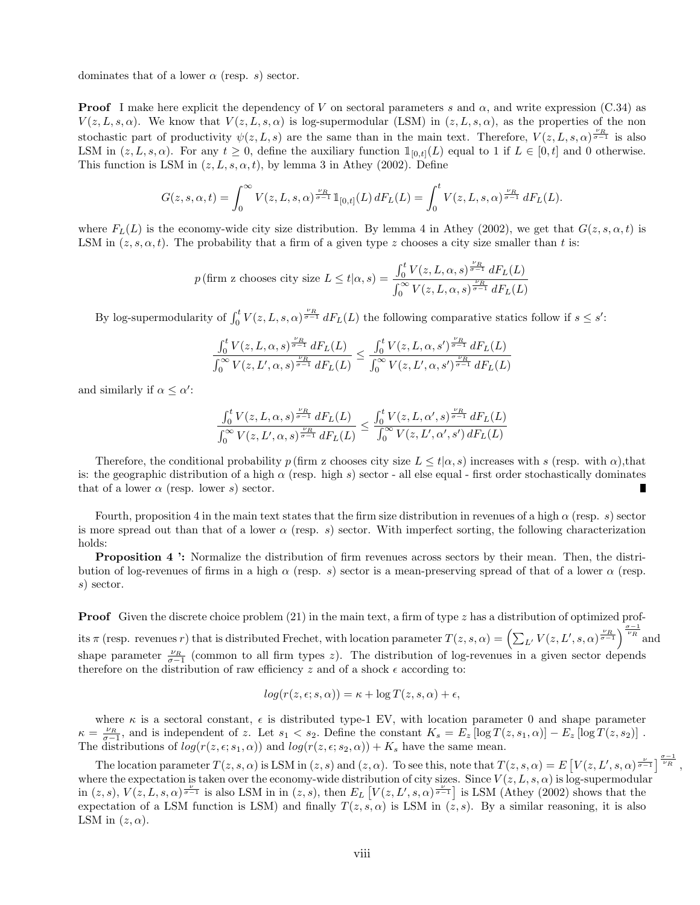dominates that of a lower  $\alpha$  (resp. s) sector.

**Proof** I make here explicit the dependency of V on sectoral parameters s and  $\alpha$ , and write expression (C.34) as  $V(z, L, s, \alpha)$ . We know that  $V(z, L, s, \alpha)$  is log-supermodular (LSM) in  $(z, L, s, \alpha)$ , as the properties of the non stochastic part of productivity  $\psi(z, L, s)$  are the same than in the main text. Therefore,  $V(z, L, s, \alpha) \frac{\nu_R}{\sigma - 1}$  is also LSM in  $(z, L, s, \alpha)$ . For any  $t \geq 0$ , define the auxiliary function  $\mathbb{1}_{[0,t]}(L)$  equal to 1 if  $L \in [0,t]$  and 0 otherwise. This function is LSM in  $(z, L, s, \alpha, t)$ , by lemma 3 in Athey (2002). Define

$$
G(z, s, \alpha, t) = \int_0^{\infty} V(z, L, s, \alpha)^{\frac{\nu_R}{\sigma - 1}} 1\!\!1_{[0, t]}(L) dF_L(L) = \int_0^t V(z, L, s, \alpha)^{\frac{\nu_R}{\sigma - 1}} dF_L(L).
$$

where  $F_L(L)$  is the economy-wide city size distribution. By lemma 4 in Athey (2002), we get that  $G(z, s, \alpha, t)$  is LSM in  $(z, s, \alpha, t)$ . The probability that a firm of a given type z chooses a city size smaller than t is:

$$
p \left( \text{firm z chooses city size } L \leq t | \alpha, s \right) = \frac{\int_0^t V(z, L, \alpha, s)^{\frac{\nu_R}{\sigma - 1}} \, dF_L(L)}{\int_0^\infty V(z, L, \alpha, s)^{\frac{\nu_R}{\sigma - 1}} \, dF_L(L)}
$$

By log-supermodularity of  $\int_0^t V(z, L, s, \alpha)^{\frac{\nu_R}{\sigma-1}} dF_L(L)$  the following comparative statics follow if  $s \leq s'$ :

$$
\frac{\int_0^t V(z, L, \alpha, s)^{\frac{\nu_R}{\sigma - 1}} \, dF_L(L)}{\int_0^\infty V(z, L', \alpha, s)^{\frac{\nu_R}{\sigma - 1}} \, dF_L(L)} \le \frac{\int_0^t V(z, L, \alpha, s')^{\frac{\nu_R}{\sigma - 1}} \, dF_L(L)}{\int_0^\infty V(z, L', \alpha, s')^{\frac{\nu_R}{\sigma - 1}} \, dF_L(L)}
$$

and similarly if  $\alpha \leq \alpha'$ :

$$
\frac{\int_0^t V(z, L, \alpha, s)^{\frac{\nu_R}{\sigma - 1}} dF_L(L)}{\int_0^\infty V(z, L', \alpha, s)^{\frac{\nu_R}{\sigma - 1}} dF_L(L)} \le \frac{\int_0^t V(z, L, \alpha', s)^{\frac{\nu_R}{\sigma - 1}} dF_L(L)}{\int_0^\infty V(z, L', \alpha', s') dF_L(L)}
$$

Therefore, the conditional probability p (firm z chooses city size  $L < t|\alpha, s$ ) increases with s (resp. with  $\alpha$ ), that is: the geographic distribution of a high  $\alpha$  (resp. high s) sector - all else equal - first order stochastically dominates that of a lower  $\alpha$  (resp. lower s) sector.

Fourth, proposition 4 in the main text states that the firm size distribution in revenues of a high  $\alpha$  (resp. s) sector is more spread out than that of a lower  $\alpha$  (resp. s) sector. With imperfect sorting, the following characterization holds:

Proposition 4 ': Normalize the distribution of firm revenues across sectors by their mean. Then, the distribution of log-revenues of firms in a high  $\alpha$  (resp. s) sector is a mean-preserving spread of that of a lower  $\alpha$  (resp. s) sector.

**Proof** Given the discrete choice problem  $(21)$  in the main text, a firm of type z has a distribution of optimized prof-

its  $\pi$  (resp. revenues r) that is distributed Frechet, with location parameter  $T(z, s, \alpha) = \left(\sum_{L'} V(z, L', s, \alpha)^{\frac{\nu_R}{\sigma-1}}\right)^{\frac{\sigma-1}{\nu_R}}$  and shape parameter  $\frac{\nu_R}{\sigma-1}$  (common to all firm types z). The distribution of log-revenues in a given sector depends therefore on the distribution of raw efficiency z and of a shock  $\epsilon$  according to:

$$
log(r(z, \epsilon; s, \alpha)) = \kappa + \log T(z, s, \alpha) + \epsilon,
$$

where  $\kappa$  is a sectoral constant,  $\epsilon$  is distributed type-1 EV, with location parameter 0 and shape parameter  $\kappa = \frac{\nu_R}{\sigma - 1}$ , and is independent of z. Let  $s_1 < s_2$ . Define the constant  $K_s = E_z [\log T(z, s_1, \alpha)] - E_z [\log T(z, s_2)]$ . The distributions of  $log(r(z, \epsilon; s_1, \alpha))$  and  $log(r(z, \epsilon; s_2, \alpha)) + K_s$  have the same mean.

The location parameter  $T(z, s, \alpha)$  is LSM in  $(z, s)$  and  $(z, \alpha)$ . To see this, note that  $T(z, s, \alpha) = E\left[V(z, L', s, \alpha)^{\frac{\nu}{\sigma-1}}\right]^{\frac{\sigma-1}{\nu_R}}$ , where the expectation is taken over the economy-wide distribution of city sizes. Since  $V(z, L, s, \alpha)$  is log-supermodular in  $(z, s)$ ,  $V(z, L, s, \alpha)$   $\frac{\nu}{\sigma-1}$  is also LSM in in  $(z, s)$ , then  $E_L$   $[V(z, L', s, \alpha)$   $\frac{\nu}{\sigma-1}]$  is LSM (Athey (2002) shows that the expectation of a LSM function is LSM) and finally  $T(z, s, \alpha)$  is LSM in  $(z, s)$ . By a similar reasoning, it is also LSM in  $(z, \alpha)$ .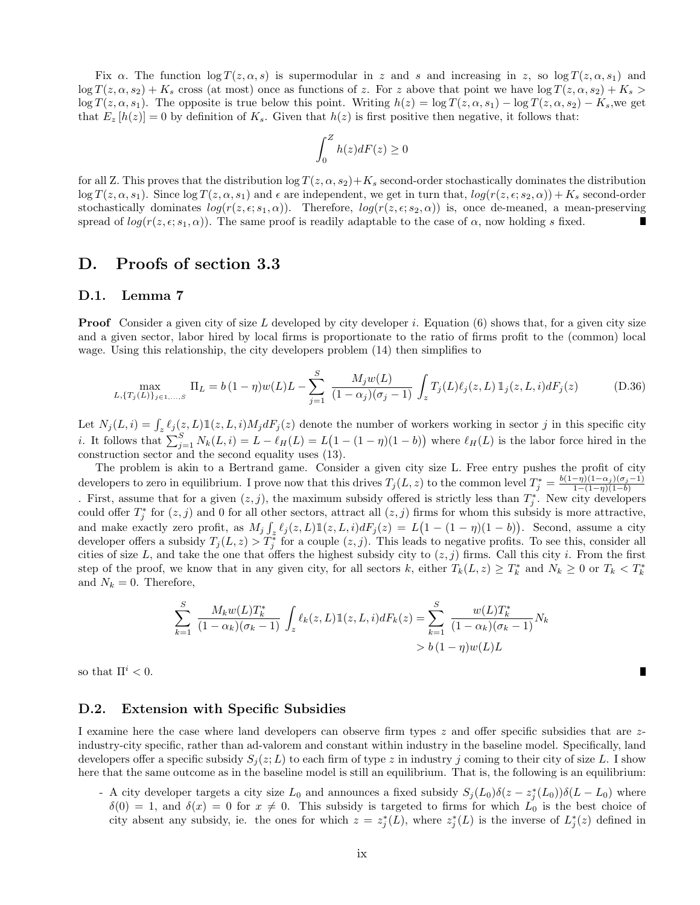Fix  $\alpha$ . The function  $\log T(z, \alpha, s)$  is supermodular in z and s and increasing in z, so  $\log T(z, \alpha, s_1)$  and  $\log T(z, \alpha, s_2) + K_s$  cross (at most) once as functions of z. For z above that point we have  $\log T(z, \alpha, s_2) + K_s >$  $\log T(z, \alpha, s_1)$ . The opposite is true below this point. Writing  $h(z) = \log T(z, \alpha, s_1) - \log T(z, \alpha, s_2) - K_s$ ,we get that  $E_z[h(z)] = 0$  by definition of  $K_s$ . Given that  $h(z)$  is first positive then negative, it follows that:

$$
\int_0^Z h(z)dF(z)\geq 0
$$

for all Z. This proves that the distribution  $\log T(z, \alpha, s_2) + K_s$  second-order stochastically dominates the distribution  $\log T(z, \alpha, s_1)$ . Since  $\log T(z, \alpha, s_1)$  and  $\epsilon$  are independent, we get in turn that,  $\log(r(z, \epsilon; s_2, \alpha)) + K_s$  second-order stochastically dominates  $log(r(z, \epsilon; s_1, \alpha))$ . Therefore,  $log(r(z, \epsilon; s_2, \alpha))$  is, once de-meaned, a mean-preserving spread of  $log(r(z, \epsilon; s_1, \alpha))$ . The same proof is readily adaptable to the case of  $\alpha$ , now holding s fixed.

## D. Proofs of section 3.3

## D.1. Lemma 7

**Proof** Consider a given city of size L developed by city developer i. Equation  $(6)$  shows that, for a given city size and a given sector, labor hired by local firms is proportionate to the ratio of firms profit to the (common) local wage. Using this relationship, the city developers problem (14) then simplifies to

$$
\max_{L, \{T_j(L)\}_{j \in 1, ..., S}} \Pi_L = b(1 - \eta)w(L)L - \sum_{j=1}^S \frac{M_j w(L)}{(1 - \alpha_j)(\sigma_j - 1)} \int_z T_j(L)\ell_j(z, L) \, \mathbb{1}_j(z, L, i) dF_j(z) \tag{D.36}
$$

Let  $N_j(L, i) = \int_z \ell_j(z, L) \mathbb{1}(z, L, i) M_j dF_j(z)$  denote the number of workers working in sector j in this specific city *i*. It follows that  $\sum_{j=1}^{S} N_k(L, i) = L - \ell_H(L) = L(1 - (1 - \eta)(1 - b))$  where  $\ell_H(L)$  is the labor force hired in the construction sector and the second equality uses (13).

The problem is akin to a Bertrand game. Consider a given city size L. Free entry pushes the profit of city developers to zero in equilibrium. I prove now that this drives  $T_j(L, z)$  to the common level  $T_j^* = \frac{b(1-\eta)(1-\alpha_j)(\sigma_j-1)}{1-(1-\eta)(1-b)}$ .<br>First, assume that for a given  $(z, j)$ , the maximum subsidy offered is strictly less than could offer  $T_j^*$  for  $(z, j)$  and 0 for all other sectors, attract all  $(z, j)$  firms for whom this subsidy is more attractive, and make exactly zero profit, as  $M_j \int_z \ell_j(z, L) \mathbb{1}(z, L, i) dF_j(z) = L(1 - (1 - \eta)(1 - b))$ . Second, assume a city developer offers a subsidy  $T_j(L, z) > T_j^*$  for a couple  $(z, j)$ . This leads to negative profits. To see this, consider all cities of size L, and take the one that offers the highest subsidy city to  $(z, j)$  firms. Call this city i. From the first step of the proof, we know that in any given city, for all sectors k, either  $T_k(L, z) \ge T_k^*$  and  $N_k \ge 0$  or  $T_k < T_k^*$ and  $N_k = 0$ . Therefore,

$$
\sum_{k=1}^{S} \frac{M_k w(L) T_k^*}{(1 - \alpha_k)(\sigma_k - 1)} \int_z \ell_k(z, L) \mathbb{1}(z, L, i) dF_k(z) = \sum_{k=1}^{S} \frac{w(L) T_k^*}{(1 - \alpha_k)(\sigma_k - 1)} N_k
$$
  
>  $b(1 - \eta) w(L) L$ 

so that  $\Pi^i < 0$ .

## D.2. Extension with Specific Subsidies

I examine here the case where land developers can observe firm types z and offer specific subsidies that are zindustry-city specific, rather than ad-valorem and constant within industry in the baseline model. Specifically, land developers offer a specific subsidy  $S_i(z;L)$  to each firm of type z in industry j coming to their city of size L. I show here that the same outcome as in the baseline model is still an equilibrium. That is, the following is an equilibrium:

- A city developer targets a city size  $L_0$  and announces a fixed subsidy  $S_j(L_0)\delta(z-z_j^*(L_0))\delta(L-L_0)$  where  $\delta(0) = 1$ , and  $\delta(x) = 0$  for  $x \neq 0$ . This subsidy is targeted to firms for which  $\tilde{L_0}$  is the best choice of city absent any subsidy, ie. the ones for which  $z = z_j^*(L)$ , where  $z_j^*(L)$  is the inverse of  $L_j^*(z)$  defined in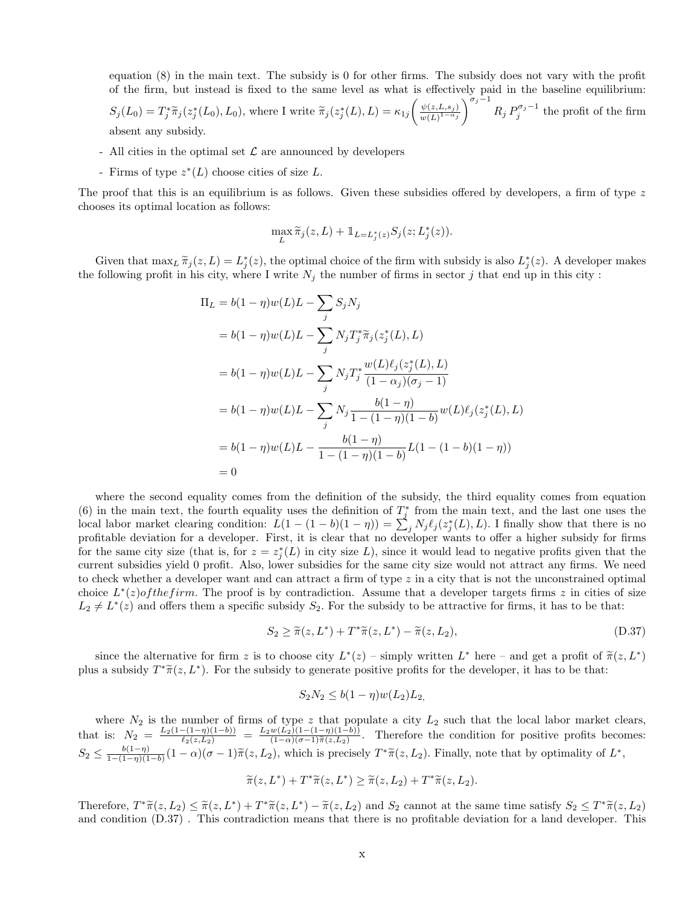equation (8) in the main text. The subsidy is 0 for other firms. The subsidy does not vary with the profit of the firm, but instead is fixed to the same level as what is effectively paid in the baseline equilibrium:

 $S_j(L_0) = T_j^* \widetilde{\pi}_j(z_j^*(L_0), L_0)$ , where I write  $\widetilde{\pi}_j(z_j^*(L), L) = \kappa_{1j} \left( \frac{\psi(z, L, s_j)}{\psi(L)^{1-\alpha_j}} \right)$  $\overline{w(L)^{1-\alpha_j}}$  $\int^{\sigma_j-1} R_j P_j^{\sigma_j-1}$  the profit of the firm absent any subsidy.

- All cities in the optimal set  $\mathcal L$  are announced by developers
- Firms of type  $z^*(L)$  choose cities of size L.

The proof that this is an equilibrium is as follows. Given these subsidies offered by developers, a firm of type z chooses its optimal location as follows:

$$
\max_{L} \widetilde{\pi}_j(z, L) + \mathbb{1}_{L=L_j^*(z)} S_j(z; L_j^*(z)).
$$

Given that  $\max_{L} \widetilde{\pi}_j(z, L) = L_j^*(z)$ , the optimal choice of the firm with subsidy is also  $L_j^*(z)$ . A developer makes following profit in his city, where I write N, the pumber of firms in sector *i* that and up in this c the following profit in his city, where I write  $N_j$  the number of firms in sector j that end up in this city :

$$
\Pi_L = b(1 - \eta)w(L)L - \sum_j S_j N_j
$$
  
= b(1 - \eta)w(L)L - \sum\_j N\_j T\_j^\* \tilde{\pi}\_j(z\_j^\*(L), L)  
= b(1 - \eta)w(L)L - \sum\_j N\_j T\_j^\* \frac{w(L)\ell\_j(z\_j^\*(L), L)}{(1 - \alpha\_j)(\sigma\_j - 1)}  
= b(1 - \eta)w(L)L - \sum\_j N\_j \frac{b(1 - \eta)}{1 - (1 - \eta)(1 - b)} w(L)\ell\_j(z\_j^\*(L), L)  
= b(1 - \eta)w(L)L - \frac{b(1 - \eta)}{1 - (1 - \eta)(1 - b)}L(1 - (1 - b)(1 - \eta))  
= 0

where the second equality comes from the definition of the subsidy, the third equality comes from equation (6) in the main text, the fourth equality uses the definition of  $T_j^*$  from the main text, and the last one uses the local labor market clearing condition:  $L(1-(1-b)(1-\eta)) = \sum_{j}^{s} N_j \ell_j(z_j^*(L), L)$ . I finally show that there is no profitable deviation for a developer. First, it is clear that no developer wants to offer a higher subsidy for firms for the same city size (that is, for  $z = z_j^*(L)$  in city size L), since it would lead to negative profits given that the current subsidies yield 0 profit. Also, lower subsidies for the same city size would not attract any firms. We need to check whether a developer want and can attract a firm of type  $z$  in a city that is not the unconstrained optimal choice  $L^*(z)$  of the firm. The proof is by contradiction. Assume that a developer targets firms z in cities of size  $L_2 \neq L^*(z)$  and offers them a specific subsidy  $S_2$ . For the subsidy to be attractive for firms, it has to be that:

$$
S_2 \ge \widetilde{\pi}(z, L^*) + T^* \widetilde{\pi}(z, L^*) - \widetilde{\pi}(z, L_2), \tag{D.37}
$$

since the alternative for firm z is to choose city  $L^*(z)$  – simply written  $L^*$  here – and get a profit of  $\tilde{\pi}(z, L^*)$ <br>s a subsidy  $T^*\tilde{\pi}(z, L^*)$ . For the subsidy to generate positive profits for the developer it has plus a subsidy  $T^*\tilde{\pi}(z,L^*)$ . For the subsidy to generate positive profits for the developer, it has to be that:

$$
S_2 N_2 \le b(1 - \eta)w(L_2)L_2
$$

where  $N_2$  is the number of firms of type z that populate a city  $L_2$  such that the local labor market clears, that is:  $N_2 = \frac{L_2(1-(1-\eta)(1-b))}{\ell_2(z,L_2)} = \frac{L_2w(L_2)(1-(1-\eta)(1-b))}{(1-\alpha)(\sigma-1)\tilde{\pi}(z,L_2)}$  $\frac{w(L_2)(1-(1-\eta)(1-\theta))}{(1-\alpha)(\sigma-1)\tilde{\pi}(z,L_2)}$ . Therefore the condition for positive profits becomes:  $S_2 \leq \frac{b(1-\eta)}{1-(1-\eta)(1-\eta)}$  $\frac{b(1-\eta)}{1-(1-\eta)(1-b)}(1-\alpha)(\sigma-1)\tilde{\pi}(z,L_2)$ , which is precisely  $T^*\tilde{\pi}(z,L_2)$ . Finally, note that by optimality of  $L^*$ ,

$$
\widetilde{\pi}(z, L^*) + T^* \widetilde{\pi}(z, L^*) \ge \widetilde{\pi}(z, L_2) + T^* \widetilde{\pi}(z, L_2).
$$

Therefore,  $T^*\tilde{\pi}(z,L_2) \leq \tilde{\pi}(z,L^*) + T^*\tilde{\pi}(z,L^*) - \tilde{\pi}(z,L_2)$  and  $S_2$  cannot at the same time satisfy  $S_2 \leq T^*\tilde{\pi}(z,L_2)$ <br>and condition  $(D,37)$ . This contradiction means that there is no prefitable deviation for a and condition (D.37) . This contradiction means that there is no profitable deviation for a land developer. This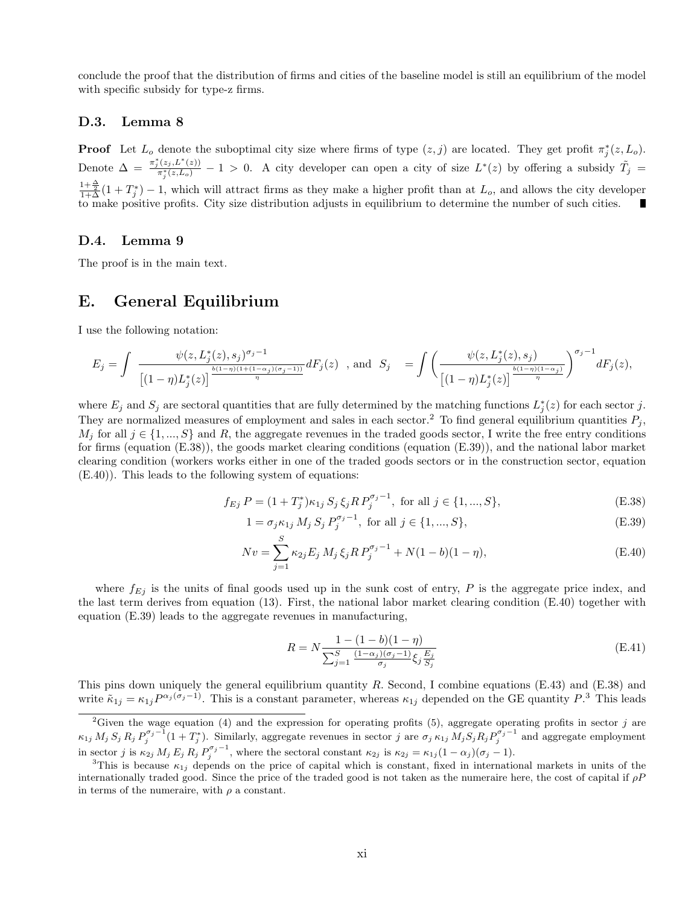conclude the proof that the distribution of firms and cities of the baseline model is still an equilibrium of the model with specific subsidy for type-z firms.

## D.3. Lemma 8

**Proof** Let  $L_o$  denote the suboptimal city size where firms of type  $(z, j)$  are located. They get profit  $\pi_j^*(z, L_o)$ . Denote  $\Delta = \frac{\pi_j^*(z_j, L^*(z))}{\pi^*(z, L)}$  $\frac{\Gamma(z_j, L^*(z))}{\pi_j^*(z, L_o)} - 1 > 0$ . A city developer can open a city of size  $L^*(z)$  by offering a subsidy  $\tilde{T}_j =$  $\frac{1+\frac{\Delta}{2}}{1+\Delta}(1+T_j^*)-1$ , which will attract firms as they make a higher profit than at  $L_o$ , and allows the city developer to make positive profits. City size distribution adjusts in equilibrium to determine the number of such cities. п

#### D.4. Lemma 9

The proof is in the main text.

## E. General Equilibrium

I use the following notation:

$$
E_j = \int \frac{\psi(z, L_j^*(z), s_j)^{\sigma_j - 1}}{\left[ (1 - \eta)L_j^*(z) \right]^{\frac{b(1 - \eta)(1 + (1 - \alpha_j)(\sigma_j - 1))}{\eta}}} dF_j(z) , \text{ and } S_j = \int \left( \frac{\psi(z, L_j^*(z), s_j)}{\left[ (1 - \eta)L_j^*(z) \right]^{\frac{b(1 - \eta)(1 - \alpha_j)}{\eta}}} \right)^{\sigma_j - 1} dF_j(z),
$$

where  $E_j$  and  $S_j$  are sectoral quantities that are fully determined by the matching functions  $L_j^*(z)$  for each sector j. They are normalized measures of employment and sales in each sector.<sup>2</sup> To find general equilibrium quantities  $P_j$ ,  $M_i$  for all  $j \in \{1, ..., S\}$  and R, the aggregate revenues in the traded goods sector, I write the free entry conditions for firms (equation (E.38)), the goods market clearing conditions (equation (E.39)), and the national labor market clearing condition (workers works either in one of the traded goods sectors or in the construction sector, equation (E.40)). This leads to the following system of equations:

$$
f_{Ej} P = (1 + T_j^*) \kappa_{1j} S_j \xi_j R P_j^{\sigma_j - 1}, \text{ for all } j \in \{1, ..., S\},
$$
 (E.38)

$$
1 = \sigma_j \kappa_{1j} M_j S_j P_j^{\sigma_j - 1}, \text{ for all } j \in \{1, ..., S\},\tag{E.39}
$$

$$
Nv = \sum_{j=1}^{S} \kappa_{2j} E_j M_j \xi_j R P_j^{\sigma_j - 1} + N(1 - b)(1 - \eta),
$$
 (E.40)

where  $f_{Ej}$  is the units of final goods used up in the sunk cost of entry, P is the aggregate price index, and the last term derives from equation (13). First, the national labor market clearing condition (E.40) together with equation (E.39) leads to the aggregate revenues in manufacturing,

$$
R = N \frac{1 - (1 - b)(1 - \eta)}{\sum_{j=1}^{S} \frac{(1 - \alpha_j)(\sigma_j - 1)}{\sigma_j} \xi_j \frac{E_j}{S_j}}
$$
(E.41)

This pins down uniquely the general equilibrium quantity  $R$ . Second, I combine equations (E.43) and (E.38) and write  $\tilde{\kappa}_{1j} = \kappa_{1j} P^{\alpha_j(\sigma_j - 1)}$ . This is a constant parameter, whereas  $\kappa_{1j}$  depended on the GE quantity  $P$ <sup>3</sup>. This leads

<sup>&</sup>lt;sup>2</sup>Given the wage equation (4) and the expression for operating profits (5), aggregate operating profits in sector j are  $\kappa_{1j} M_j S_j R_j P_j^{\sigma_j-1} (1+T_j^*)$ . Similarly, aggregate revenues in sector j are  $\sigma_j \kappa_{1j} M_j S_j R_j P_j^{\sigma_j-1}$  and aggregate employment in sector j is  $\kappa_{2j} M_j E_j R_j P_j^{\sigma_j-1}$ , where the sectoral constant  $\kappa_{2j}$  is  $\kappa_{2j} = \kappa_{1j} (1 - \alpha_j)(\sigma_j - 1)$ .

<sup>&</sup>lt;sup>3</sup>This is because  $\kappa_{1i}$  depends on the price of capital which is constant, fixed in international markets in units of the internationally traded good. Since the price of the traded good is not taken as the numeraire here, the cost of capital if  $\rho P$ in terms of the numeraire, with  $\rho$  a constant.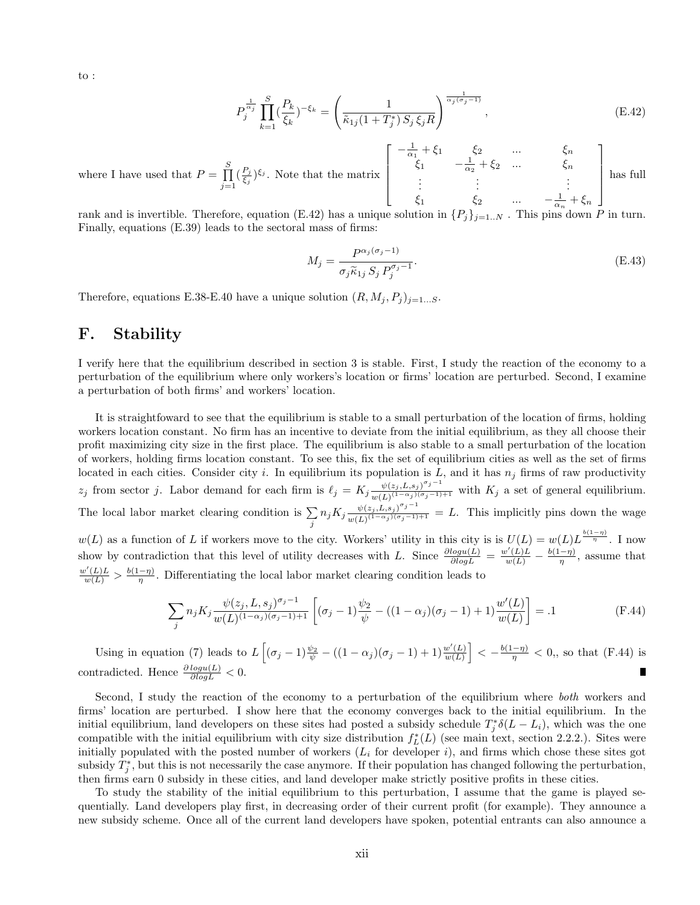to :

$$
P_j^{\frac{1}{\alpha_j}} \prod_{k=1}^S \left(\frac{P_k}{\xi_k}\right)^{-\xi_k} = \left(\frac{1}{\tilde{\kappa}_{1j}(1+T_j^*) S_j \xi_j R}\right)^{\frac{1}{\alpha_j(\sigma_j-1)}},\tag{E.42}
$$

where I have used that  $P = \prod_{i=1}^{S}$  $j=1$  $\left(\frac{P_j}{\epsilon}\right)$  $(\frac{P_j}{\xi_j})^{\xi_j}$ . Note that the matrix 

 $\xi_1$   $\xi_2$  ...  $-\frac{1}{\alpha_n} + \xi_n$ rank and is invertible. Therefore, equation (E.42) has a unique solution in  $\{P_i\}_{i=1..N}$ . This pins down P in turn. Finally, equations (E.39) leads to the sectoral mass of firms:

 $\lceil$ 

$$
M_j = \frac{P^{\alpha_j(\sigma_j - 1)}}{\sigma_j \tilde{\kappa}_{1j} S_j P_j^{\sigma_j - 1}}.
$$
\n(E.43)

 $-\frac{1}{\alpha_1} + \xi_1$   $\xi_2$  ...  $\xi_n$  $\xi_1 \quad -\frac{1}{\alpha_2} + \xi_2 \quad ... \quad \xi_n$ . . . . . . . . .

1

has full

Therefore, equations E.38-E.40 have a unique solution  $(R, M_j, P_j)_{j=1...S}$ .

## F. Stability

I verify here that the equilibrium described in section 3 is stable. First, I study the reaction of the economy to a perturbation of the equilibrium where only workers's location or firms' location are perturbed. Second, I examine a perturbation of both firms' and workers' location.

It is straightfoward to see that the equilibrium is stable to a small perturbation of the location of firms, holding workers location constant. No firm has an incentive to deviate from the initial equilibrium, as they all choose their profit maximizing city size in the first place. The equilibrium is also stable to a small perturbation of the location of workers, holding firms location constant. To see this, fix the set of equilibrium cities as well as the set of firms located in each cities. Consider city i. In equilibrium its population is L, and it has  $n_j$  firms of raw productivity  $z_j$  from sector j. Labor demand for each firm is  $\ell_j = K_j \frac{\psi(z_j, L, s_j)^{\sigma_j-1}}{\psi(L) \left(1-\alpha_j\right)(\sigma_j-1)}$  $\frac{\psi(z_j, L, s_j)}{\psi(L)^{(1-\alpha_j)(\sigma_j-1)+1}}$  with  $K_j$  a set of general equilibrium. The local labor market clearing condition is  $\Sigma$  $\sum\limits_j n_j K_j \frac{\psi(z_j, L, s_j)^{\sigma_j-1}}{w(L)^{(1-\alpha_j)(\sigma_j-1)}}$  $\frac{\psi(z_j, L, s_j)}{\psi(L)^{(1-\alpha_j)(\sigma_j-1)+1}} = L$ . This implicitly pins down the wage

 $w(L)$  as a function of L if workers move to the city. Workers' utility in this city is is  $U(L) = w(L)L^{\frac{b(1-\eta)}{\eta}}$ . I now show by contradiction that this level of utility decreases with L. Since  $\frac{\partial log u(L)}{\partial log L} = \frac{w'(L)L}{w(L)} - \frac{b(1-\eta)}{\eta}$ now by contradiction that this level of utility decreases with L. Since  $\frac{\partial log u(L)}{\partial log L} = \frac{w(L)L}{w(L)} - \frac{b(1-\eta)}{\eta}$ , assume that  $\frac{w'(L)L}{w(L)} > \frac{b(1-\eta)}{\eta}$  $\frac{(-\eta)}{\eta}$ . Differentiating the local labor market clearing condition leads to

$$
\sum_{j} n_{j} K_{j} \frac{\psi(z_{j}, L, s_{j})^{\sigma_{j}-1}}{w(L)^{(1-\alpha_{j})(\sigma_{j}-1)+1}} \left[ (\sigma_{j}-1) \frac{\psi_{2}}{\psi} - ((1-\alpha_{j})(\sigma_{j}-1)+1) \frac{w'(L)}{w(L)} \right] = .1
$$
\n(F.44)

Using in equation (7) leads to  $L\left[ (\sigma_j - 1) \frac{\psi_2}{\psi} - ((1 - \alpha_j)(\sigma_j - 1) + 1) \frac{w'(L)}{w(L)} \right]$  $\left[\frac{w'(L)}{w(L)}\right] < -\frac{b(1-\eta)}{\eta} < 0$ , so that (F.44) is contradicted. Hence  $\frac{\partial log u(L)}{\partial log L} < 0$ . Г

Second, I study the reaction of the economy to a perturbation of the equilibrium where both workers and firms' location are perturbed. I show here that the economy converges back to the initial equilibrium. In the initial equilibrium, land developers on these sites had posted a subsidy schedule  $T_j^* \delta(L - L_i)$ , which was the one compatible with the initial equilibrium with city size distribution  $f_L^*(L)$  (see main text, section 2.2.2.). Sites were initially populated with the posted number of workers  $(L<sub>i</sub>$  for developer i), and firms which chose these sites got subsidy  $T_j^*$ , but this is not necessarily the case anymore. If their population has changed following the perturbation, then firms earn 0 subsidy in these cities, and land developer make strictly positive profits in these cities.

To study the stability of the initial equilibrium to this perturbation, I assume that the game is played sequentially. Land developers play first, in decreasing order of their current profit (for example). They announce a new subsidy scheme. Once all of the current land developers have spoken, potential entrants can also announce a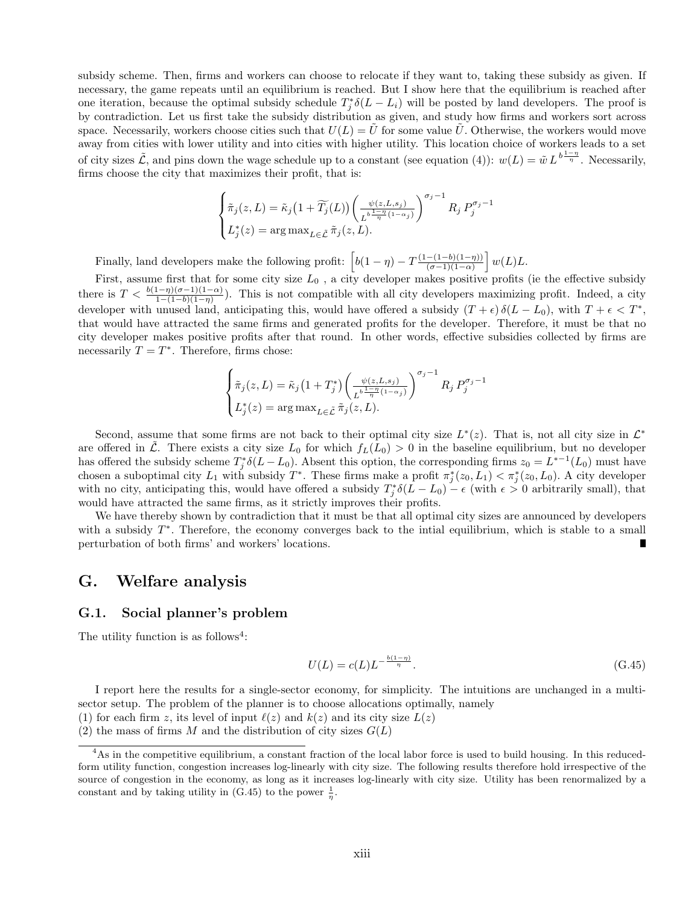subsidy scheme. Then, firms and workers can choose to relocate if they want to, taking these subsidy as given. If necessary, the game repeats until an equilibrium is reached. But I show here that the equilibrium is reached after one iteration, because the optimal subsidy schedule  $T_j^* \delta(L - L_i)$  will be posted by land developers. The proof is by contradiction. Let us first take the subsidy distribution as given, and study how firms and workers sort across space. Necessarily, workers choose cities such that  $U(L) = U$  for some value U. Otherwise, the workers would move away from cities with lower utility and into cities with higher utility. This location choice of workers leads to a set of city sizes  $\tilde{\mathcal{L}}$ , and pins down the wage schedule up to a constant (see equation (4)):  $w(L) = \tilde{w} L^{\frac{1-\eta}{\eta}}$ . Necessarily, firms choose the city that maximizes their profit, that is:

$$
\begin{cases}\n\tilde{\pi}_j(z, L) = \tilde{\kappa}_j\left(1 + \widetilde{T}_j(L)\right) \left(\frac{\psi(z, L, s_j)}{L^{b \frac{1 - \eta}{\eta}(1 - \alpha_j)}}\right)^{\sigma_j - 1} R_j P_j^{\sigma_j - 1} \\
L_j^*(z) = \arg \max_{L \in \tilde{\mathcal{L}}} \tilde{\pi}_j(z, L).\n\end{cases}
$$

Finally, land developers make the following profit:  $\left[ b(1-\eta) - T \frac{(1-(1-b)(1-\eta))}{(\tau-1)(1-\alpha)} \right]$  $\frac{-(1-b)(1-\eta)}{(\sigma-1)(1-\alpha)}$   $w(L)L$ .

First, assume first that for some city size  $L_0$ , a city developer makes positive profits (ie the effective subsidy there is  $T < \frac{b(1-\eta)(\sigma-1)(1-\alpha)}{1-(1-b)(1-\eta)}$ . This is not compatible with all city developers maximizing profit. Indeed, a city developer with unused land, anticipating this, would have offered a subsidy  $(T + \epsilon) \delta(L - L_0)$ , with  $T + \epsilon < T^*$ , that would have attracted the same firms and generated profits for the developer. Therefore, it must be that no city developer makes positive profits after that round. In other words, effective subsidies collected by firms are necessarily  $T = T^*$ . Therefore, firms chose:

$$
\begin{cases}\n\tilde{\pi}_j(z, L) = \tilde{\kappa}_j \left(1 + T_j^*\right) \left(\frac{\psi(z, L, s_j)}{L^{\frac{1 - \eta}{\eta}}(1 - \alpha_j)}\right)^{\sigma_j - 1} R_j P_j^{\sigma_j - 1} \\
L_j^*(z) = \arg \max_{L \in \tilde{\mathcal{L}}} \tilde{\pi}_j(z, L).\n\end{cases}
$$

Second, assume that some firms are not back to their optimal city size  $L^*(z)$ . That is, not all city size in  $\mathcal{L}^*$ are offered in  $\mathcal L$ . There exists a city size  $L_0$  for which  $f_L(L_0) > 0$  in the baseline equilibrium, but no developer has offered the subsidy scheme  $T_j^* \delta(L - L_0)$ . Absent this option, the corresponding firms  $z_0 = L^{*-1}(L_0)$  must have chosen a suboptimal city  $L_1$  with subsidy  $T^*$ . These firms make a profit  $\pi_j^*(z_0, L_1) < \pi_j^*(z_0, L_0)$ . A city developer with no city, anticipating this, would have offered a subsidy  $T_j^* \delta(L - L_0) - \epsilon$  (with  $\epsilon > 0$  arbitrarily small), that would have attracted the same firms, as it strictly improves their profits.

We have thereby shown by contradiction that it must be that all optimal city sizes are announced by developers with a subsidy  $T^*$ . Therefore, the economy converges back to the intial equilibrium, which is stable to a small perturbation of both firms' and workers' locations. П

## G. Welfare analysis

#### G.1. Social planner's problem

The utility function is as follows<sup>4</sup>:

$$
U(L) = c(L)L^{-\frac{b(1-\eta)}{\eta}}.
$$
\n(G.45)

I report here the results for a single-sector economy, for simplicity. The intuitions are unchanged in a multisector setup. The problem of the planner is to choose allocations optimally, namely

- (1) for each firm z, its level of input  $\ell(z)$  and  $k(z)$  and its city size  $L(z)$
- (2) the mass of firms M and the distribution of city sizes  $G(L)$

<sup>&</sup>lt;sup>4</sup>As in the competitive equilibrium, a constant fraction of the local labor force is used to build housing. In this reducedform utility function, congestion increases log-linearly with city size. The following results therefore hold irrespective of the source of congestion in the economy, as long as it increases log-linearly with city size. Utility has been renormalized by a constant and by taking utility in (G.45) to the power  $\frac{1}{\eta}$ .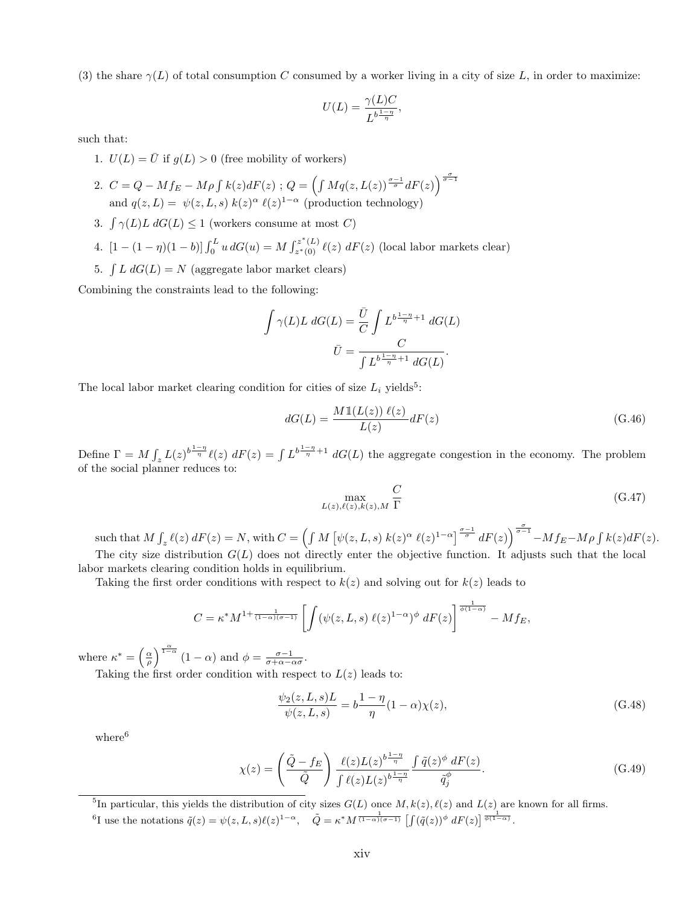(3) the share  $\gamma(L)$  of total consumption C consumed by a worker living in a city of size L, in order to maximize:

$$
U(L) = \frac{\gamma(L)C}{L^{b\frac{1-\eta}{\eta}}}
$$

,

such that:

- 1.  $U(L) = \overline{U}$  if  $g(L) > 0$  (free mobility of workers)
- 2.  $C = Q Mf_E M\rho \int k(z)dF(z)$ ;  $Q = \left(\int Mq(z, L(z))^{\frac{\sigma-1}{\sigma}}dF(z)\right)^{\frac{\sigma}{\sigma-1}}$ and  $q(z, L) = \psi(z, L, s) k(z)^{\alpha} \ell(z)^{1-\alpha}$  (production technology)
- 3.  $\int \gamma(L)L \, dG(L) \leq 1$  (workers consume at most C)
- 4.  $[1 (1 \eta)(1 b)] \int_0^L u \, dG(u) = M \int_{z^*(0)}^{z^*(L)}$ <sup>2</sup>(L)  $\ell(z)$  dF(z) (local labor markets clear)
- 5.  $\int L dG(L) = N$  (aggregate labor market clears)

Combining the constraints lead to the following:

$$
\int \gamma(L)L \, dG(L) = \frac{\overline{U}}{C} \int L^{b} \frac{1-\eta}{\eta} + 1 \, dG(L)
$$

$$
\overline{U} = \frac{C}{\int L^{b} \frac{1-\eta}{\eta} + 1} \, dG(L).
$$

The local labor market clearing condition for cities of size  $L_i$  yields<sup>5</sup>:

$$
dG(L) = \frac{M1(L(z)) \ell(z)}{L(z)} dF(z)
$$
\n(G.46)

Define  $\Gamma = M \int_z L(z)^{b \frac{1-\eta}{\eta}} \ell(z) dF(z) = \int L^{b \frac{1-\eta}{\eta}+1} dG(L)$  the aggregate congestion in the economy. The problem of the social planner reduces to:

$$
\max_{L(z), \ell(z), k(z), M} \frac{C}{\Gamma} \tag{G.47}
$$

such that  $M\int_z \ell(z)\,dF(z) = N$ , with  $C = \left(\int M\left[\psi(z,L,s)\;k(z)^{\alpha}\; \ell(z)^{1-\alpha}\right]^{\frac{\sigma-1}{\sigma}} dF(z)\right)^{\frac{\sigma}{\sigma-1}} - Mf_E - M\rho \int k(z)dF(z)$ . The city size distribution  $G(L)$  does not directly enter the objective function. It adjusts such that the local

labor markets clearing condition holds in equilibrium.

Taking the first order conditions with respect to  $k(z)$  and solving out for  $k(z)$  leads to

$$
C = \kappa^* M^{1+\frac{1}{(1-\alpha)(\sigma-1)}} \left[ \int (\psi(z,L,s) \ \ell(z)^{1-\alpha})^{\phi} \ dF(z) \right]^{\frac{1}{\phi(1-\alpha)}} - Mf_E,
$$

where  $\kappa^* = \left(\frac{\alpha}{\rho}\right)^{\frac{\alpha}{1-\alpha}} (1-\alpha)$  and  $\phi = \frac{\sigma-1}{\sigma+\alpha-\alpha\sigma}$ .

Taking the first order condition with respect to  $L(z)$  leads to:

$$
\frac{\psi_2(z, L, s)L}{\psi(z, L, s)} = b \frac{1 - \eta}{\eta} (1 - \alpha) \chi(z),\tag{G.48}
$$

where<sup>6</sup>

$$
\chi(z) = \left(\frac{\tilde{Q} - f_E}{\tilde{Q}}\right) \frac{\ell(z)L(z)^{b\frac{1-\eta}{\eta}}}{\int \ell(z)L(z)^{b\frac{1-\eta}{\eta}}} \frac{\int \tilde{q}(z)^{\phi} dF(z)}{\tilde{q}_j^{\phi}}.
$$
\n(G.49)

<sup>5</sup>In particular, this yields the distribution of city sizes  $G(L)$  once  $M, k(z), \ell(z)$  and  $L(z)$  are known for all firms.

<sup>6</sup>I use the notations  $\tilde{q}(z) = \psi(z, L, s)\ell(z)^{1-\alpha}, \quad \tilde{Q} = \kappa^* M^{\frac{1}{(1-\alpha)(\sigma-1)}} \left[ \int (\tilde{q}(z))^{\phi} dF(z) \right]^{\frac{1}{\phi(1-\alpha)}}$ .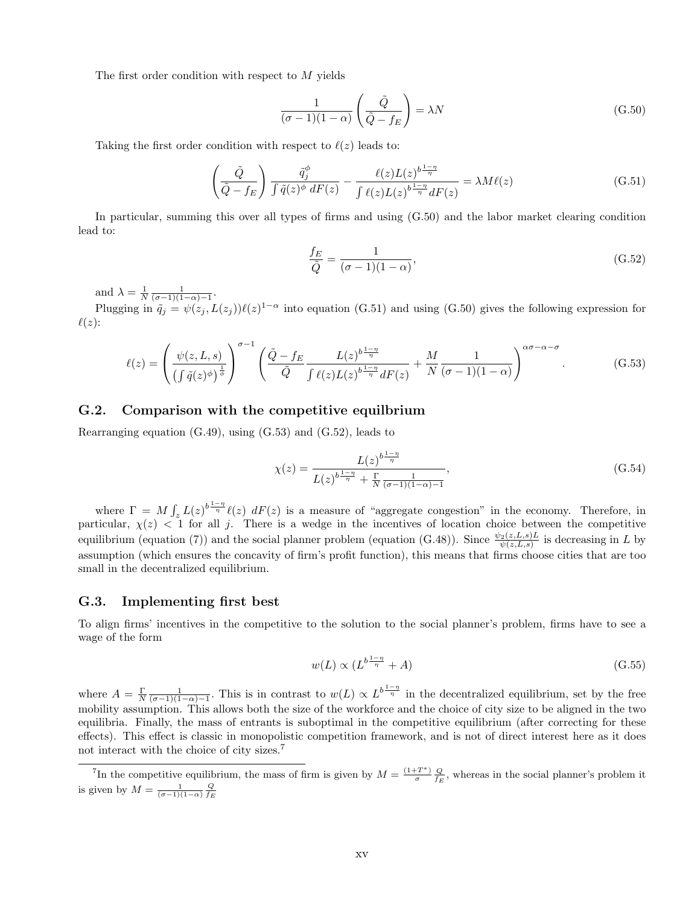The first order condition with respect to  $M$  yields

$$
\frac{1}{(\sigma - 1)(1 - \alpha)} \left( \frac{\tilde{Q}}{\tilde{Q} - f_E} \right) = \lambda N \tag{G.50}
$$

Taking the first order condition with respect to  $\ell(z)$  leads to:

$$
\left(\frac{\tilde{Q}}{\tilde{Q}-f_E}\right)\frac{\tilde{q}_j^{\phi}}{\int \tilde{q}(z)^{\phi} dF(z)} - \frac{\ell(z)L(z)^{b\frac{1-\eta}{\eta}}}{\int \ell(z)L(z)^{b\frac{1-\eta}{\eta}} dF(z)} = \lambda M\ell(z)
$$
\n(G.51)

In particular, summing this over all types of firms and using (G.50) and the labor market clearing condition lead to:

$$
\frac{f_E}{\tilde{Q}} = \frac{1}{(\sigma - 1)(1 - \alpha)},\tag{G.52}
$$

and  $\lambda = \frac{1}{N} \frac{1}{(\sigma - 1)(1 - \alpha) - 1}$ .

Plugging in  $\tilde{q}_j = \psi(z_j, L(z_j))\ell(z)^{1-\alpha}$  into equation (G.51) and using (G.50) gives the following expression for  $\ell(z)$ :

$$
\ell(z) = \left(\frac{\psi(z, L, s)}{\left(\int \tilde{q}(z)^{\phi}\right)^{\frac{1}{\phi}}}\right)^{\sigma - 1} \left(\frac{\tilde{Q} - f_E}{\tilde{Q}} \frac{L(z)^{b\frac{1-\eta}{\eta}}}{\int \ell(z)L(z)^{b\frac{1-\eta}{\eta}}dF(z)} + \frac{M}{N} \frac{1}{(\sigma - 1)(1 - \alpha)}\right)^{\alpha\sigma - \alpha - \sigma}.
$$
(G.53)

## G.2. Comparison with the competitive equilbrium

Rearranging equation (G.49), using (G.53) and (G.52), leads to

$$
\chi(z) = \frac{L(z)^{b\frac{1-\eta}{\eta}}}{L(z)^{b\frac{1-\eta}{\eta}} + \frac{\Gamma}{N} \frac{1}{(\sigma-1)(1-\alpha)-1}},
$$
\n(G.54)

where  $\Gamma = M \int_{\gamma} L(z)^{b \frac{1-\eta}{\eta}} \ell(z) dF(z)$  is a measure of "aggregate congestion" in the economy. Therefore, in where  $1 - M \frac{1}{2} E(z) + \ell(z)$  are is a measure of aggregate congestion. In the economy. Therefore, in particular,  $\chi(z) < 1$  for all j. There is a wedge in the incentives of location choice between the competitive equilibrium (equation (7)) and the social planner problem (equation (G.48)). Since  $\frac{\psi_2(z,L,s)L}{\psi(z,L,s)}$  is decreasing in L by assumption (which ensures the concavity of firm's profit function), this means that firms choose cities that are too small in the decentralized equilibrium.

## G.3. Implementing first best

To align firms' incentives in the competitive to the solution to the social planner's problem, firms have to see a wage of the form

$$
w(L) \propto (L^{b\frac{1-\eta}{\eta}} + A) \tag{G.55}
$$

where  $A = \frac{\Gamma}{N} \frac{1}{(\sigma-1)(1-\alpha)-1}$ . This is in contrast to  $w(L) \propto L^{b \frac{1-\eta}{\eta}}$  in the decentralized equilibrium, set by the free mobility assumption. This allows both the size of the workforce and the choice of city size to be aligned in the two equilibria. Finally, the mass of entrants is suboptimal in the competitive equilibrium (after correcting for these effects). This effect is classic in monopolistic competition framework, and is not of direct interest here as it does not interact with the choice of city sizes.<sup>7</sup>

<sup>7</sup>In the competitive equilibrium, the mass of firm is given by  $M = \frac{(1+T^*)}{\sigma} \frac{Q}{f_E}$ , whereas in the social planner's problem it is given by  $M = \frac{1}{(\sigma - 1)(1 - \alpha)} \frac{Q}{f_E}$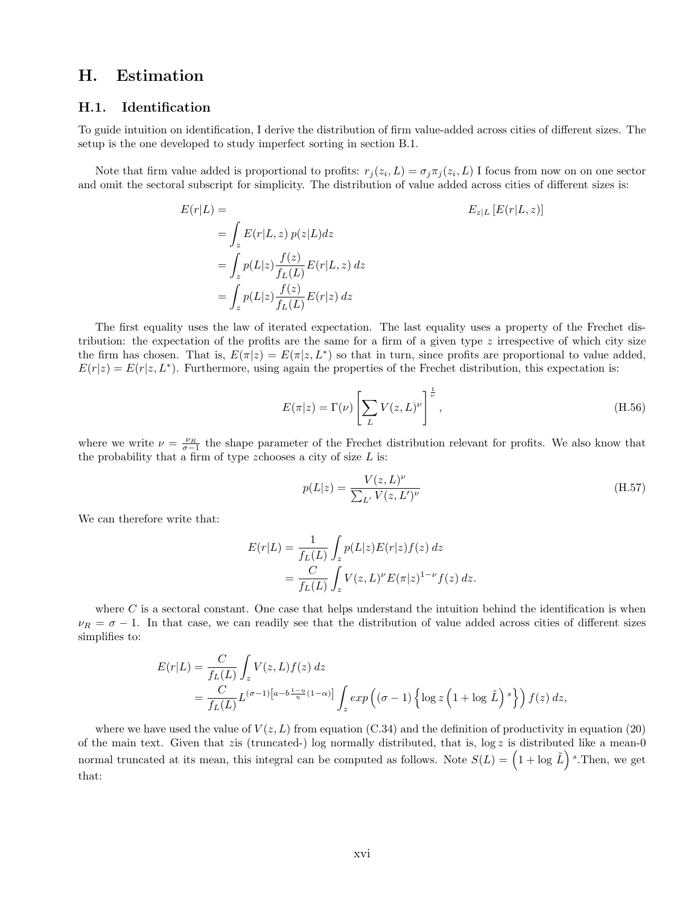## H. Estimation

## H.1. Identification

To guide intuition on identification, I derive the distribution of firm value-added across cities of different sizes. The setup is the one developed to study imperfect sorting in section B.1.

Note that firm value added is proportional to profits:  $r_j(z_i, L) = \sigma_j \pi_j(z_i, L)$  I focus from now on one sector and omit the sectoral subscript for simplicity. The distribution of value added across cities of different sizes is:

$$
E(r|L) = E_z[k|L] = E_z[k|L] = \int_z E(r|L, z) p(z|L) dz
$$
  
= 
$$
\int_z p(L|z) \frac{f(z)}{f_L(L)} E(r|L, z) dz
$$
  
= 
$$
\int_z p(L|z) \frac{f(z)}{f_L(L)} E(r|z) dz
$$

The first equality uses the law of iterated expectation. The last equality uses a property of the Frechet distribution: the expectation of the profits are the same for a firm of a given type  $z$  irrespective of which city size the firm has chosen. That is,  $E(\pi|z) = E(\pi|z, L^*)$  so that in turn, since profits are proportional to value added,  $E(r|z) = E(r|z, L^*)$ . Furthermore, using again the properties of the Frechet distribution, this expectation is:

$$
E(\pi|z) = \Gamma(\nu) \left[ \sum_{L} V(z, L)^{\nu} \right]^{\frac{1}{\nu}},
$$
\n(H.56)

where we write  $\nu = \frac{\nu_R}{\sigma - 1}$  the shape parameter of the Frechet distribution relevant for profits. We also know that the probability that a firm of type zchooses a city of size  $L$  is:

$$
p(L|z) = \frac{V(z, L)^{\nu}}{\sum_{L'} V(z, L')^{\nu}}
$$
(H.57)

We can therefore write that:

$$
E(r|L) = \frac{1}{f_L(L)} \int_z p(L|z) E(r|z) f(z) dz
$$
  
= 
$$
\frac{C}{f_L(L)} \int_z V(z, L)^{\nu} E(\pi|z)^{1-\nu} f(z) dz.
$$

where  $C$  is a sectoral constant. One case that helps understand the intuition behind the identification is when  $\nu_R = \sigma - 1$ . In that case, we can readily see that the distribution of value added across cities of different sizes simplifies to:

$$
E(r|L) = \frac{C}{f_L(L)} \int_z V(z, L) f(z) dz
$$
  
= 
$$
\frac{C}{f_L(L)} L^{(\sigma-1)[a-b\frac{1-\eta}{\eta}(1-\alpha)]} \int_z exp((\sigma-1) \{\log z (1 + \log \tilde{L})^s \}) f(z) dz,
$$

where we have used the value of  $V(z, L)$  from equation (C.34) and the definition of productivity in equation (20) of the main text. Given that zis (truncated-) log normally distributed, that is,  $\log z$  is distributed like a mean-0 normal truncated at its mean, this integral can be computed as follows. Note  $S(L) = \left(1 + \log \tilde{L}\right)$  s. Then, we get that: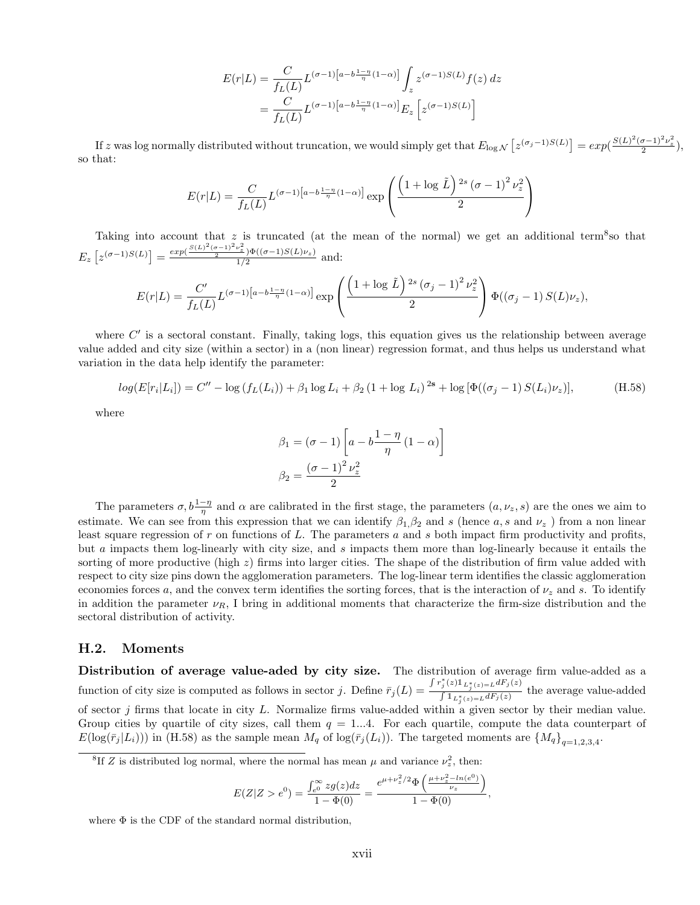$$
E(r|L) = \frac{C}{f_L(L)} L^{(\sigma-1)\left[a-b\frac{1-\eta}{\eta}(1-\alpha)\right]} \int_z z^{(\sigma-1)S(L)} f(z) dz
$$
  
= 
$$
\frac{C}{f_L(L)} L^{(\sigma-1)\left[a-b\frac{1-\eta}{\eta}(1-\alpha)\right]} E_z \left[z^{(\sigma-1)S(L)}\right]
$$

If z was log normally distributed without truncation, we would simply get that  $E_{\log N} \left[ z^{(\sigma_j - 1)S(L)} \right] = exp(\frac{S(L)^2(\sigma - 1)^2 \nu_z^2}{2}),$ so that:

$$
E(r|L) = \frac{C}{f_L(L)} L^{(\sigma-1)\left[a - b\frac{1-\eta}{\eta}(1-\alpha)\right]} \exp\left(\frac{\left(1 + \log \tilde{L}\right)^{2s} (\sigma - 1)^2 \nu_z^2}{2}\right)
$$

Taking into account that z is truncated (at the mean of the normal) we get an additional term<sup>8</sup>so that  $E_z \left[ z^{(\sigma-1)S(L)} \right] = \frac{exp(\frac{S(L)^2(\sigma-1)^2 \nu_z^2}{2}) \Phi((\sigma-1)S(L)\nu_z)}{1/2}$  $\frac{1}{\sqrt{2}}$  and:

$$
E(r|L) = \frac{C'}{f_L(L)} L^{(\sigma-1)\left[a-b\frac{1-\eta}{\eta}(1-\alpha)\right]} \exp\left(\frac{\left(1+\log \tilde{L}\right)^{2s} (\sigma_j-1)^2 \nu_z^2}{2}\right) \Phi((\sigma_j-1) S(L)\nu_z),
$$

where  $C'$  is a sectoral constant. Finally, taking logs, this equation gives us the relationship between average value added and city size (within a sector) in a (non linear) regression format, and thus helps us understand what variation in the data help identify the parameter:

$$
log(E[r_i|L_i]) = C'' - log(f_L(L_i)) + \beta_1 log L_i + \beta_2 (1 + log L_i)^{2s} + log[\Phi((\sigma_j - 1)S(L_i)\nu_z)],
$$
(H.58)

where

$$
\beta_1 = (\sigma - 1) \left[ a - b \frac{1 - \eta}{\eta} (1 - \alpha) \right]
$$

$$
\beta_2 = \frac{(\sigma - 1)^2 \nu_z^2}{2}
$$

The parameters  $\sigma$ ,  $b\frac{1-\eta}{\eta}$  and  $\alpha$  are calibrated in the first stage, the parameters  $(a, \nu_z, s)$  are the ones we aim to estimate. We can see from this expression that we can identify  $\beta_1, \beta_2$  and s (hence a, s and  $\nu_z$ ) from a non linear least square regression of r on functions of L. The parameters  $a$  and  $s$  both impact firm productivity and profits, but a impacts them log-linearly with city size, and s impacts them more than log-linearly because it entails the sorting of more productive (high  $z$ ) firms into larger cities. The shape of the distribution of firm value added with respect to city size pins down the agglomeration parameters. The log-linear term identifies the classic agglomeration economies forces a, and the convex term identifies the sorting forces, that is the interaction of  $\nu_z$  and s. To identify in addition the parameter  $\nu_R$ , I bring in additional moments that characterize the firm-size distribution and the sectoral distribution of activity.

#### H.2. Moments

Distribution of average value-aded by city size. The distribution of average firm value-added as a function of city size is computed as follows in sector j. Define  $\bar{r}_j(L) = \frac{\int r_j^*(z) \mathbb{1}_{L_j^*(z) = L} dF_j(z)}{\int \mathbb{1}_{L_j^*(z) = L} dF_j(z)}$  $\int \frac{E_j(z) - E^{(1)}(z)}{\int 1_{L_j^*(z) = L} dF_j(z)}$  the average value-added of sector  $j$  firms that locate in city  $L$ . Normalize firms value-added within a given sector by their median value. Group cities by quartile of city sizes, call them  $q = 1...4$ . For each quartile, compute the data counterpart of  $E(\log(\bar{r}_j|L_i)))$  in (H.58) as the sample mean  $M_q$  of  $\log(\bar{r}_j(L_i))$ . The targeted moments are  $\{M_q\}_{q=1,2,3,4}$ .

$$
E(Z|Z>e^0) = \frac{\int_{e^0}^{\infty} zg(z)dz}{1-\Phi(0)} = \frac{e^{\mu+\nu_z^2/2}\Phi\left(\frac{\mu+\nu_z^2-\ln(e^0)}{\nu_z}\right)}{1-\Phi(0)},
$$

<sup>&</sup>lt;sup>8</sup>If Z is distributed log normal, where the normal has mean  $\mu$  and variance  $\nu_z^2$ , then:

where  $\Phi$  is the CDF of the standard normal distribution,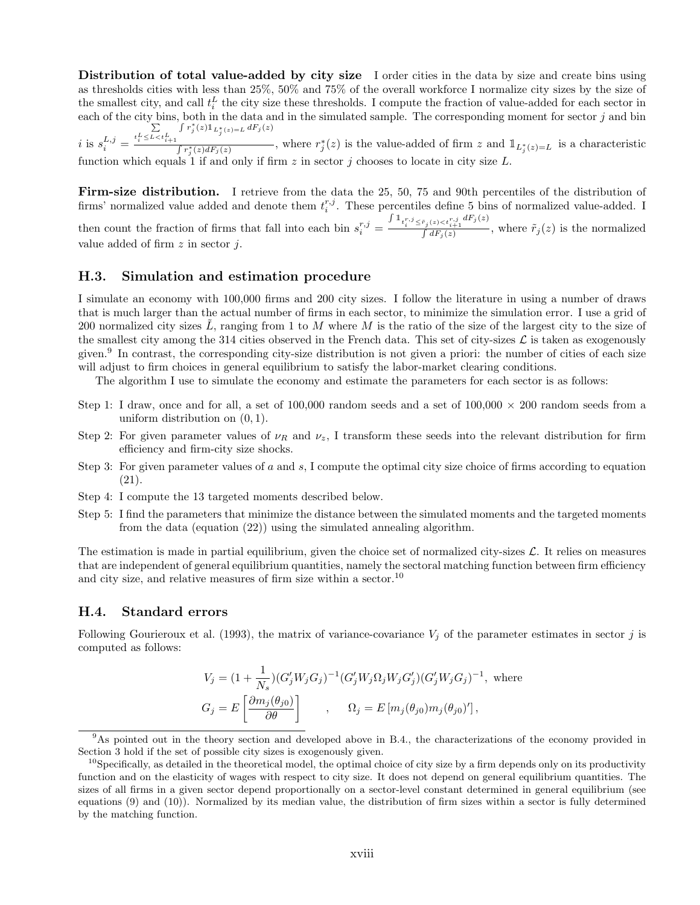Distribution of total value-added by city size I order cities in the data by size and create bins using as thresholds cities with less than 25%, 50% and 75% of the overall workforce I normalize city sizes by the size of the smallest city, and call  $t_i^L$  the city size these thresholds. I compute the fraction of value-added for each sector in each of the city bins, both in the data and in the simulated sample. The corresponding moment for sector  $j$  and bin  $\sum_{t_i^L \le L < t_{i+1}^L}$  $\int r_j^*(z) 1\!\!1_{L_j^*(z) = L} dF_j(z)$ 

i is  $s_i^{L,j} =$  $\overline{\int r_i^*(z)dF_j(z)}$ , where  $r_j^*(z)$  is the value-added of firm z and  $\mathbb{1}_{L_j^*(z)=L}$  is a characteristic function which equals 1 if and only if firm  $z$  in sector j chooses to locate in city size  $L$ .

Firm-size distribution. I retrieve from the data the 25, 50, 75 and 90th percentiles of the distribution of firms' normalized value added and denote them  $t_i^{r,j}$ . These percentiles define 5 bins of normalized value-added. I

then count the fraction of firms that fall into each bin  $s_i^{r,j} =$  $\int \mathbbm{1}_{t_i^{r,j} \leq \tilde{r}_j(z) < t_{i+1}^{r,j}} dF_j(z)$  $\tilde{f} \frac{dF_j(z) \leq \tilde{F}_{i+1}}{dF_j(z)}$ , where  $\tilde{r}_j(z)$  is the normalized value added of firm  $z$  in sector  $i$ .

## H.3. Simulation and estimation procedure

I simulate an economy with 100,000 firms and 200 city sizes. I follow the literature in using a number of draws that is much larger than the actual number of firms in each sector, to minimize the simulation error. I use a grid of 200 normalized city sizes  $\tilde{L}$ , ranging from 1 to M where M is the ratio of the size of the largest city to the size of the smallest city among the 314 cities observed in the French data. This set of city-sizes  $\mathcal L$  is taken as exogenously given.<sup>9</sup> In contrast, the corresponding city-size distribution is not given a priori: the number of cities of each size will adjust to firm choices in general equilibrium to satisfy the labor-market clearing conditions.

The algorithm I use to simulate the economy and estimate the parameters for each sector is as follows:

- Step 1: I draw, once and for all, a set of 100,000 random seeds and a set of  $100,000 \times 200$  random seeds from a uniform distribution on (0, 1).
- Step 2: For given parameter values of  $\nu_R$  and  $\nu_z$ , I transform these seeds into the relevant distribution for firm efficiency and firm-city size shocks.
- Step 3: For given parameter values of  $a$  and  $s$ , I compute the optimal city size choice of firms according to equation (21).
- Step 4: I compute the 13 targeted moments described below.
- Step 5: I find the parameters that minimize the distance between the simulated moments and the targeted moments from the data (equation (22)) using the simulated annealing algorithm.

The estimation is made in partial equilibrium, given the choice set of normalized city-sizes  $\mathcal{L}$ . It relies on measures that are independent of general equilibrium quantities, namely the sectoral matching function between firm efficiency and city size, and relative measures of firm size within a sector.<sup>10</sup>

## H.4. Standard errors

Following Gourieroux et al. (1993), the matrix of variance-covariance  $V_j$  of the parameter estimates in sector j is computed as follows:

$$
V_j = (1 + \frac{1}{N_s})(G'_j W_j G_j)^{-1} (G'_j W_j \Omega_j W_j G'_j) (G'_j W_j G_j)^{-1}, \text{ where}
$$
  

$$
G_j = E\left[\frac{\partial m_j(\theta_{j0})}{\partial \theta}\right], \qquad \Omega_j = E\left[m_j(\theta_{j0})m_j(\theta_{j0})'\right],
$$

<sup>9</sup>As pointed out in the theory section and developed above in B.4., the characterizations of the economy provided in Section 3 hold if the set of possible city sizes is exogenously given.

 $^{10}$ Specifically, as detailed in the theoretical model, the optimal choice of city size by a firm depends only on its productivity function and on the elasticity of wages with respect to city size. It does not depend on general equilibrium quantities. The sizes of all firms in a given sector depend proportionally on a sector-level constant determined in general equilibrium (see equations (9) and (10)). Normalized by its median value, the distribution of firm sizes within a sector is fully determined by the matching function.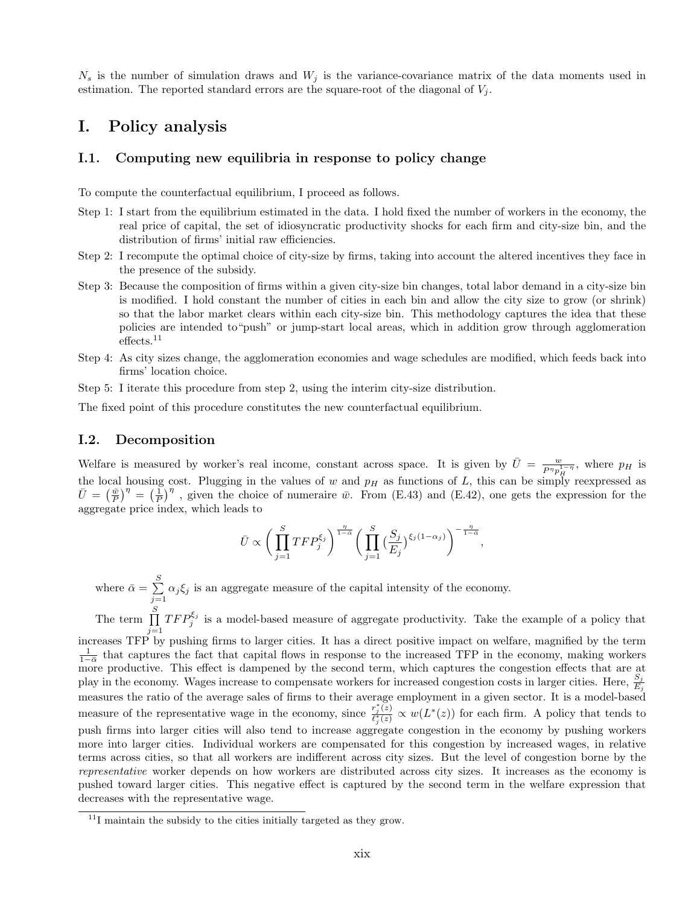$N_s$  is the number of simulation draws and  $W_j$  is the variance-covariance matrix of the data moments used in estimation. The reported standard errors are the square-root of the diagonal of  $V_i$ .

## I. Policy analysis

## I.1. Computing new equilibria in response to policy change

To compute the counterfactual equilibrium, I proceed as follows.

- Step 1: I start from the equilibrium estimated in the data. I hold fixed the number of workers in the economy, the real price of capital, the set of idiosyncratic productivity shocks for each firm and city-size bin, and the distribution of firms' initial raw efficiencies.
- Step 2: I recompute the optimal choice of city-size by firms, taking into account the altered incentives they face in the presence of the subsidy.
- Step 3: Because the composition of firms within a given city-size bin changes, total labor demand in a city-size bin is modified. I hold constant the number of cities in each bin and allow the city size to grow (or shrink) so that the labor market clears within each city-size bin. This methodology captures the idea that these policies are intended to"push" or jump-start local areas, which in addition grow through agglomeration effects.<sup>11</sup>
- Step 4: As city sizes change, the agglomeration economies and wage schedules are modified, which feeds back into firms' location choice.

Step 5: I iterate this procedure from step 2, using the interim city-size distribution.

The fixed point of this procedure constitutes the new counterfactual equilibrium.

#### I.2. Decomposition

Welfare is measured by worker's real income, constant across space. It is given by  $\bar{U} = \frac{w}{Dv}$  $\frac{w}{P^n p_H^{1-\eta}}$ , where  $p_H$  is the local housing cost. Plugging in the values of w and  $p<sub>H</sub>$  as functions of L, this can be simply reexpressed as  $\bar{U} = \left(\frac{\bar{w}}{P}\right)^{\eta} = \left(\frac{1}{P}\right)^{\eta}$ , given the choice of numeraire  $\bar{w}$ . From (E.43) and (E.42), one gets the expression for the aggregate price index, which leads to

$$
\bar{U} \propto \bigg(\prod_{j=1}^S TFP_j^{\xi_j}\bigg)^{\frac{\eta}{1-\alpha}}\bigg(\prod_{j=1}^S\big(\frac{S_j}{E_j}\big)^{\xi_j(1-\alpha_j)}\bigg)^{-\frac{\eta}{1-\alpha}},
$$

where  $\bar{\alpha} = \sum_{n=1}^{S}$  $\sum_{j=1} \alpha_j \xi_j$  is an aggregate measure of the capital intensity of the economy.

The term  $\prod_{j=1}^{S} TFP_j^{\xi_j}$  is a model-based measure of aggregate productivity. Take the example of a policy that increases TFP by pushing firms to larger cities. It has a direct positive impact on welfare, magnified by the term

 $\frac{1}{1-\bar{\alpha}}$  that captures the fact that capital flows in response to the increased TFP in the economy, making workers more productive. This effect is dampened by the second term, which captures the congestion effects that are at play in the economy. Wages increase to compensate workers for increased congestion costs in larger cities. Here,  $\frac{S_j}{E_j}$ measures the ratio of the average sales of firms to their average employment in a given sector. It is a model-based measure of the representative wage in the economy, since  $\frac{r_j^*(z)}{r_{(z)}}$  $\frac{r_j(z)}{\ell_j^*(z)} \propto w(L^*(z))$  for each firm. A policy that tends to push firms into larger cities will also tend to increase aggregate congestion in the economy by pushing workers more into larger cities. Individual workers are compensated for this congestion by increased wages, in relative terms across cities, so that all workers are indifferent across city sizes. But the level of congestion borne by the representative worker depends on how workers are distributed across city sizes. It increases as the economy is pushed toward larger cities. This negative effect is captured by the second term in the welfare expression that decreases with the representative wage.

 $11$ I maintain the subsidy to the cities initially targeted as they grow.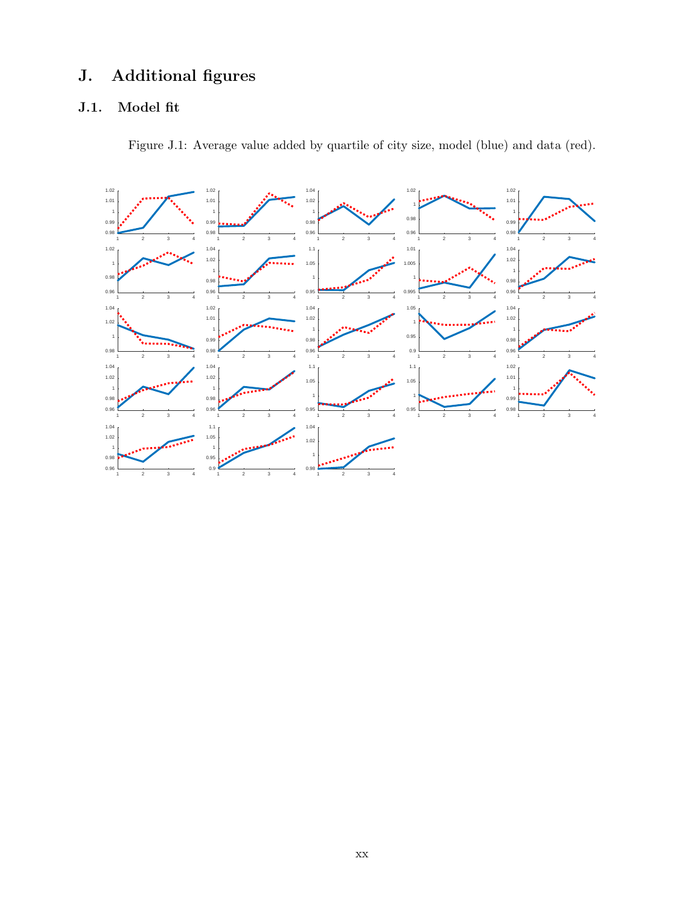## J. Additional figures

## J.1. Model fit

Figure J.1: Average value added by quartile of city size, model (blue) and data (red).

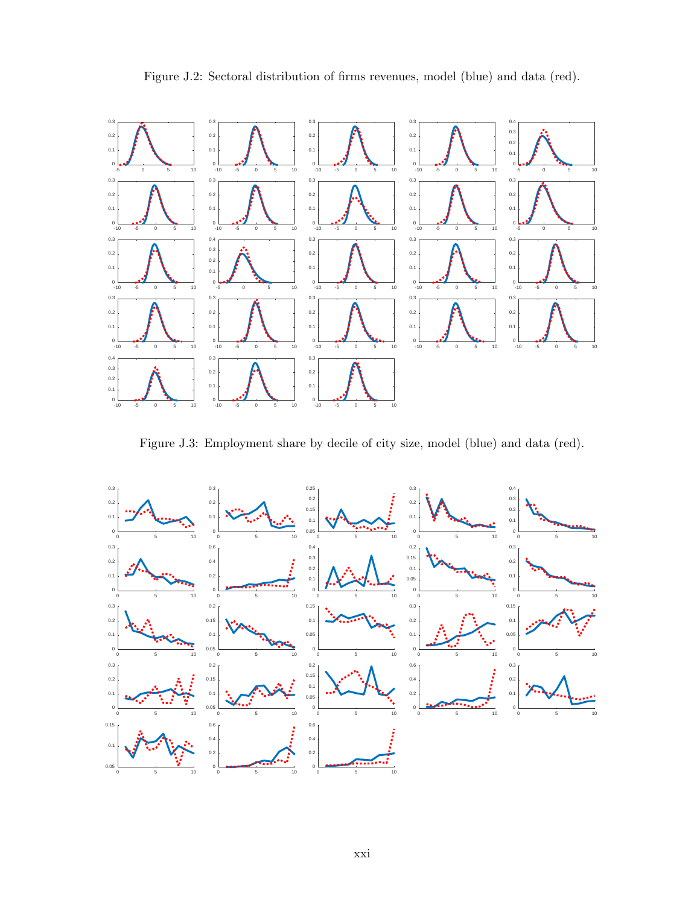



Figure J.3: Employment share by decile of city size, model (blue) and data (red).